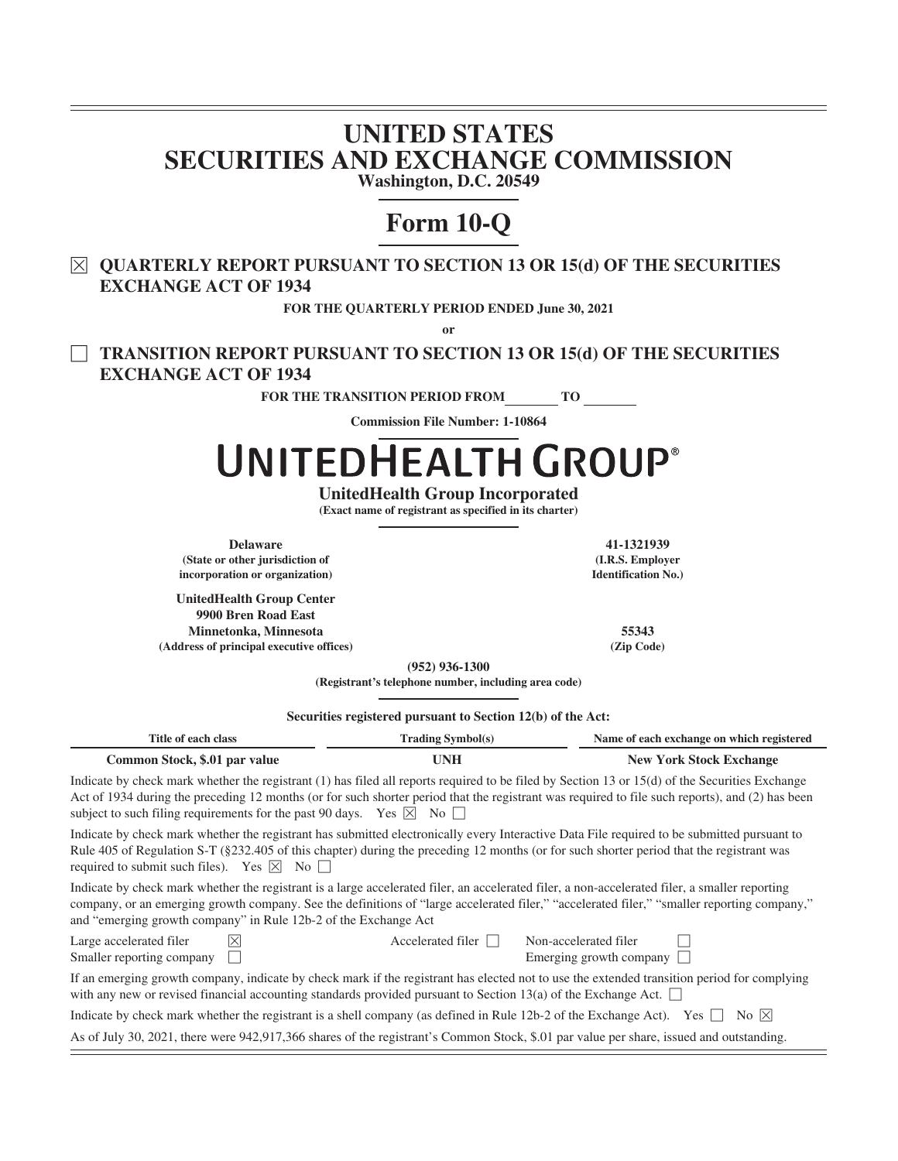# **UNITED STATES SECURITIES AND EXCHANGE COMMISSION Washington, D.C. 20549**

# **Form 10-Q**

È **QUARTERLY REPORT PURSUANT TO SECTION 13 OR 15(d) OF THE SECURITIES EXCHANGE ACT OF 1934**

**FOR THE QUARTERLY PERIOD ENDED June 30, 2021**

**or**

' **TRANSITION REPORT PURSUANT TO SECTION 13 OR 15(d) OF THE SECURITIES EXCHANGE ACT OF 1934**

**FOR THE TRANSITION PERIOD FROM TO**

**Commission File Number: 1-10864**

# UNITEDHEALTH GROUP®

**UnitedHealth Group Incorporated**

**(Exact name of registrant as specified in its charter)**

**Delaware 41-1321939 (State or other jurisdiction of incorporation or organization)**

**UnitedHealth Group Center 9900 Bren Road East Minnetonka, Minnesota 55343 (Address of principal executive offices) (Zip Code)**

**(I.R.S. Employer Identification No.)**

**(952) 936-1300**

**(Registrant's telephone number, including area code)**

**Securities registered pursuant to Section 12(b) of the Act:**

| Securities registered pursuant to Section 12(b) of the Act:                                                                             |                          |                                                                                                                                                                                                                                                                                                   |  |  |  |  |  |  |  |  |  |
|-----------------------------------------------------------------------------------------------------------------------------------------|--------------------------|---------------------------------------------------------------------------------------------------------------------------------------------------------------------------------------------------------------------------------------------------------------------------------------------------|--|--|--|--|--|--|--|--|--|
| Title of each class                                                                                                                     | <b>Trading Symbol(s)</b> | Name of each exchange on which registered                                                                                                                                                                                                                                                         |  |  |  |  |  |  |  |  |  |
| Common Stock, \$.01 par value                                                                                                           | <b>UNH</b>               | <b>New York Stock Exchange</b>                                                                                                                                                                                                                                                                    |  |  |  |  |  |  |  |  |  |
| subject to such filing requirements for the past 90 days. Yes $\boxtimes$ No $\Box$                                                     |                          | Indicate by check mark whether the registrant (1) has filed all reports required to be filed by Section 13 or 15(d) of the Securities Exchange<br>Act of 1934 during the preceding 12 months (or for such shorter period that the registrant was required to file such reports), and (2) has been |  |  |  |  |  |  |  |  |  |
| required to submit such files). Yes $ \overline{\times} $ No $ \overline{\times} $                                                      |                          | Indicate by check mark whether the registrant has submitted electronically every Interactive Data File required to be submitted pursuant to<br>Rule 405 of Regulation S-T (§232.405 of this chapter) during the preceding 12 months (or for such shorter period that the registrant was           |  |  |  |  |  |  |  |  |  |
| and "emerging growth company" in Rule 12b-2 of the Exchange Act                                                                         |                          | Indicate by check mark whether the registrant is a large accelerated filer, an accelerated filer, a non-accelerated filer, a smaller reporting<br>company, or an emerging growth company. See the definitions of "large accelerated filer," "accelerated filer," "smaller reporting company,"     |  |  |  |  |  |  |  |  |  |
| Large accelerated filer<br>$\mathsf{X}$<br>Smaller reporting company                                                                    | Accelerated filer $\Box$ | Non-accelerated filer<br>Emerging growth company                                                                                                                                                                                                                                                  |  |  |  |  |  |  |  |  |  |
| with any new or revised financial accounting standards provided pursuant to Section 13(a) of the Exchange Act.                          |                          | If an emerging growth company, indicate by check mark if the registrant has elected not to use the extended transition period for complying                                                                                                                                                       |  |  |  |  |  |  |  |  |  |
| Indicate by check mark whether the registrant is a shell company (as defined in Rule 12b-2 of the Exchange Act). Yes                    |                          | No $ X $                                                                                                                                                                                                                                                                                          |  |  |  |  |  |  |  |  |  |
| As of July 30, 2021, there were 942,917,366 shares of the registrant's Common Stock, \$.01 par value per share, issued and outstanding. |                          |                                                                                                                                                                                                                                                                                                   |  |  |  |  |  |  |  |  |  |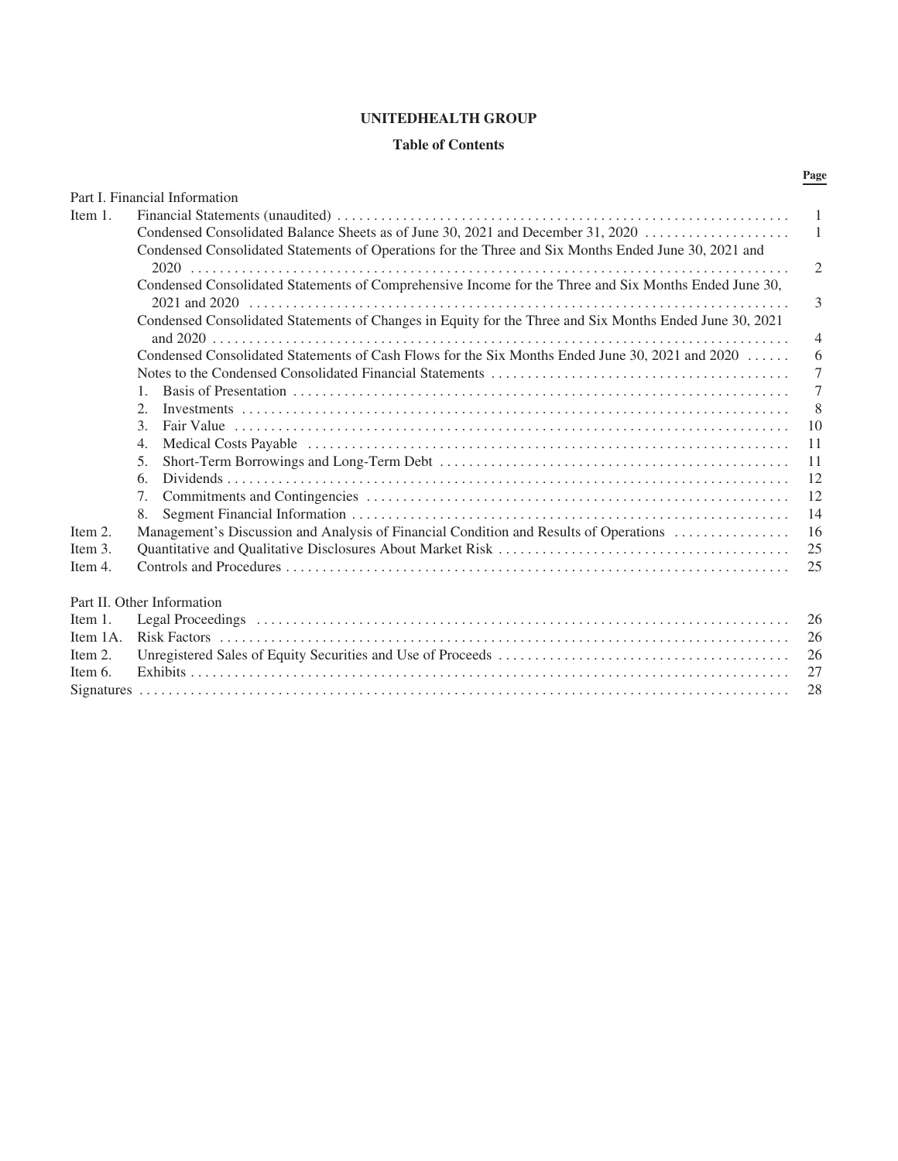# **UNITEDHEALTH GROUP**

# **Table of Contents**

|          | Part I. Financial Information                                                                           |                |
|----------|---------------------------------------------------------------------------------------------------------|----------------|
| Item 1.  |                                                                                                         | $\mathbf{1}$   |
|          | Condensed Consolidated Balance Sheets as of June 30, 2021 and December 31, 2020                         | $\mathbf{1}$   |
|          | Condensed Consolidated Statements of Operations for the Three and Six Months Ended June 30, 2021 and    |                |
|          |                                                                                                         | $\overline{2}$ |
|          | Condensed Consolidated Statements of Comprehensive Income for the Three and Six Months Ended June 30,   | 3              |
|          | Condensed Consolidated Statements of Changes in Equity for the Three and Six Months Ended June 30, 2021 | 4              |
|          | Condensed Consolidated Statements of Cash Flows for the Six Months Ended June 30, 2021 and 2020         | 6              |
|          |                                                                                                         | $\overline{7}$ |
|          | $\mathbf{1}$                                                                                            | $\overline{7}$ |
|          | 2.                                                                                                      | 8              |
|          | $\mathcal{E}$                                                                                           | 10             |
|          | $\overline{4}$ .                                                                                        | 11             |
|          | 5 <sub>1</sub>                                                                                          | 11             |
|          | 6.                                                                                                      | 12             |
|          | $7_{\scriptscriptstyle{\ddots}}$                                                                        | 12             |
|          | 8.                                                                                                      | 14             |
| Item 2.  | Management's Discussion and Analysis of Financial Condition and Results of Operations                   | 16             |
| Item 3.  |                                                                                                         | 25             |
| Item 4.  |                                                                                                         | 25             |
|          | Part II. Other Information                                                                              |                |
| Item 1.  |                                                                                                         | 26             |
| Item 1A. |                                                                                                         | 26             |
| Item 2.  |                                                                                                         | 26             |
| Item 6.  |                                                                                                         | 27             |
|          |                                                                                                         | 28             |

# **Page**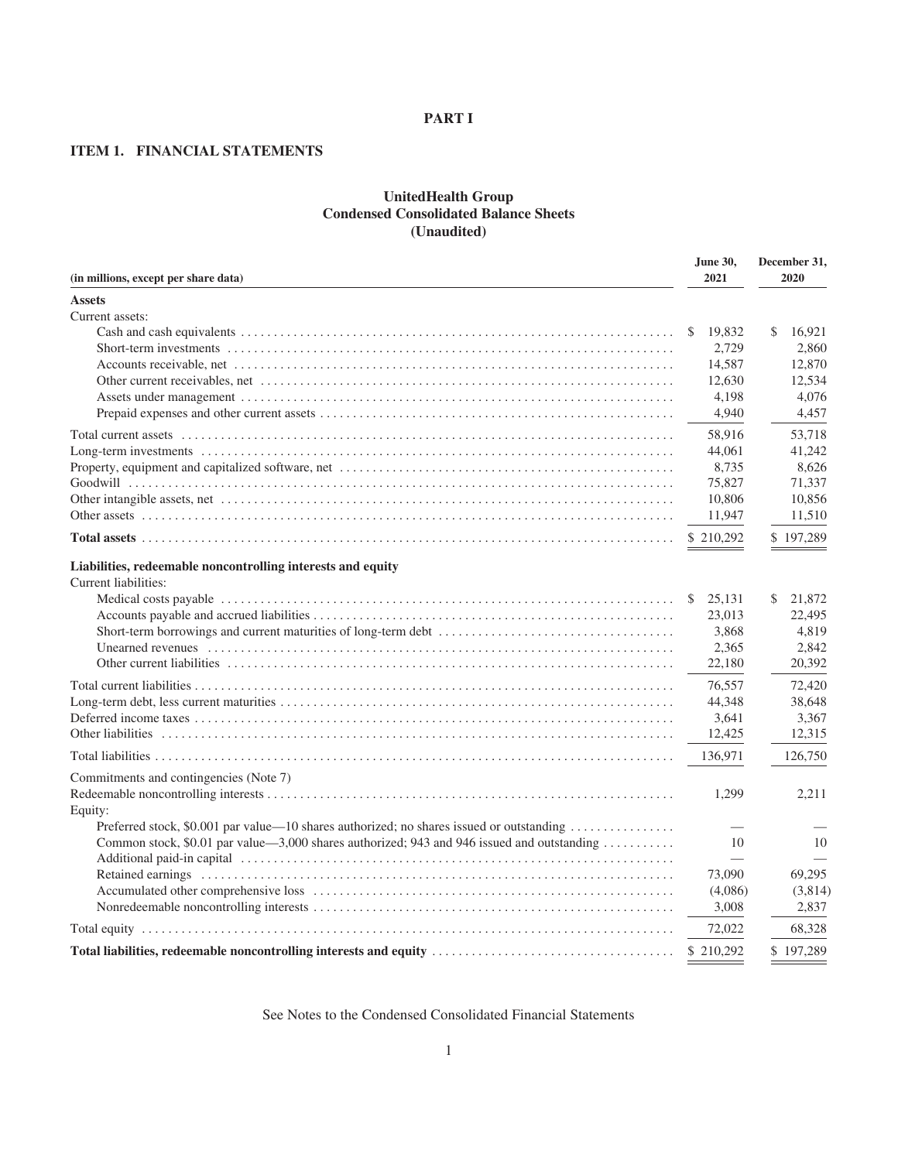#### **PART I**

# **ITEM 1. FINANCIAL STATEMENTS**

# **UnitedHealth Group Condensed Consolidated Balance Sheets (Unaudited)**

| (in millions, except per share data)                                                       |              | December 31,<br>2020 |
|--------------------------------------------------------------------------------------------|--------------|----------------------|
| <b>Assets</b>                                                                              |              |                      |
| Current assets:                                                                            | 19,832<br>S. | 16,921<br>\$         |
|                                                                                            | 2,729        | 2,860                |
|                                                                                            | 14,587       | 12,870               |
|                                                                                            | 12,630       | 12,534               |
|                                                                                            | 4,198        | 4,076                |
|                                                                                            | 4,940        | 4,457                |
|                                                                                            | 58,916       | 53,718               |
|                                                                                            | 44,061       | 41,242               |
|                                                                                            | 8,735        | 8,626                |
|                                                                                            | 75,827       | 71,337               |
|                                                                                            | 10,806       | 10,856               |
|                                                                                            | 11,947       | 11,510               |
|                                                                                            | \$210,292    | \$197,289            |
| Liabilities, redeemable noncontrolling interests and equity<br>Current liabilities:        |              |                      |
|                                                                                            | 25,131<br>\$ | 21,872<br>\$         |
|                                                                                            | 23,013       | 22,495               |
|                                                                                            | 3,868        | 4,819                |
|                                                                                            | 2,365        | 2,842                |
|                                                                                            | 22,180       | 20,392               |
|                                                                                            | 76,557       | 72,420               |
|                                                                                            | 44,348       | 38,648               |
|                                                                                            | 3,641        | 3,367                |
|                                                                                            | 12,425       | 12,315               |
|                                                                                            | 136,971      | 126,750              |
| Commitments and contingencies (Note 7)<br>Equity:                                          | 1,299        | 2,211                |
| Preferred stock, \$0.001 par value—10 shares authorized; no shares issued or outstanding   |              |                      |
| Common stock, \$0.01 par value—3,000 shares authorized; 943 and 946 issued and outstanding | 10           | 10                   |
|                                                                                            | 73,090       | 69,295               |
|                                                                                            | (4,086)      | (3,814)              |
|                                                                                            | 3,008        | 2.837                |
|                                                                                            | 72,022       | 68,328               |
|                                                                                            | \$210,292    | \$197,289            |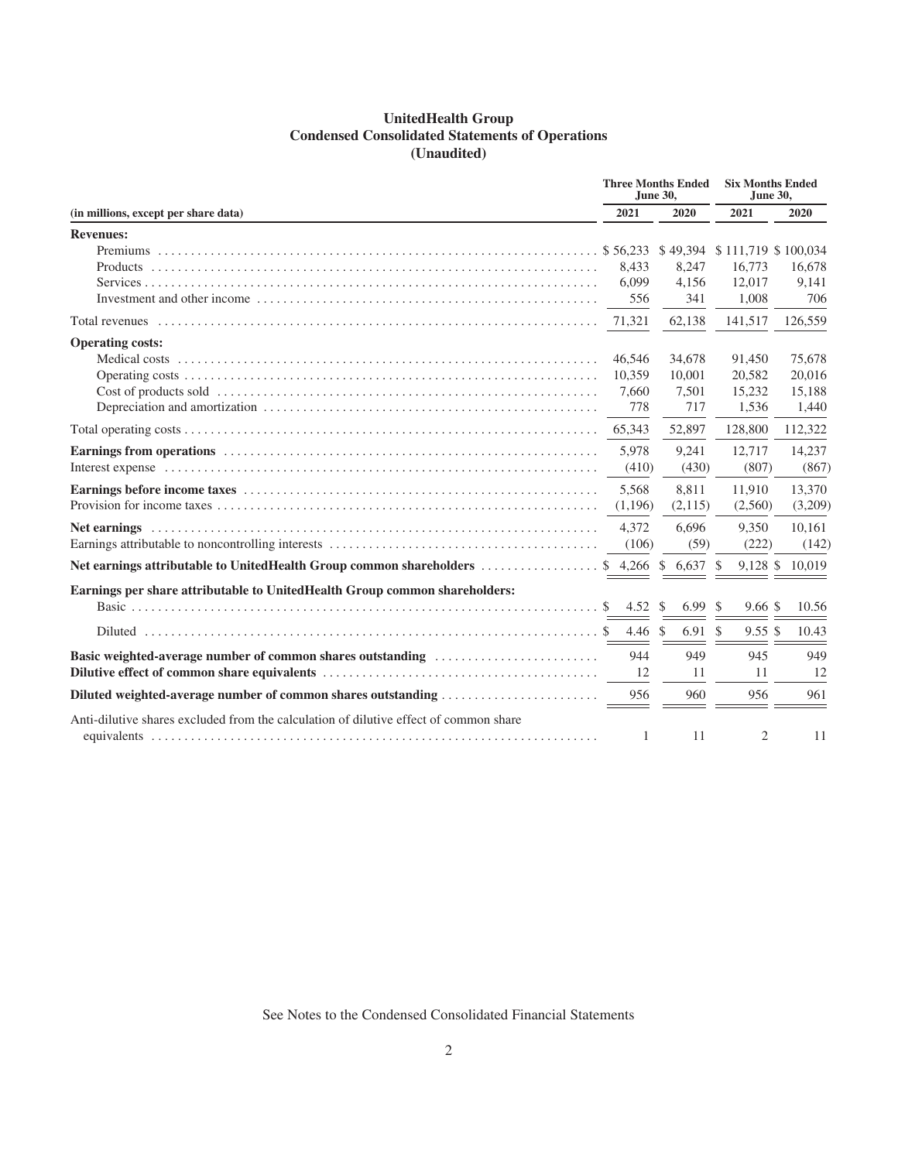# **UnitedHealth Group Condensed Consolidated Statements of Operations (Unaudited)**

|                                                                                        |                    | <b>Three Months Ended</b><br>June 30, | <b>Six Months Ended</b><br>June 30, |                 |
|----------------------------------------------------------------------------------------|--------------------|---------------------------------------|-------------------------------------|-----------------|
| (in millions, except per share data)                                                   | 2021               | 2020                                  | 2021                                | 2020            |
| <b>Revenues:</b>                                                                       |                    |                                       |                                     |                 |
|                                                                                        |                    |                                       | \$49,394 \$111,719 \$100,034        |                 |
|                                                                                        | 8,433              | 8,247                                 | 16,773                              | 16,678          |
|                                                                                        | 6.099              | 4,156                                 | 12.017                              | 9,141           |
|                                                                                        | 556                | 341                                   | 1,008                               | 706             |
|                                                                                        | 71,321             | 62,138                                | 141,517                             | 126,559         |
| <b>Operating costs:</b>                                                                |                    |                                       |                                     |                 |
|                                                                                        | 46,546             | 34,678                                | 91,450                              | 75,678          |
|                                                                                        | 10.359             | 10,001                                | 20,582                              | 20,016          |
|                                                                                        | 7,660              | 7,501                                 | 15,232                              | 15,188          |
|                                                                                        | 778                | 717                                   | 1.536                               | 1,440           |
|                                                                                        | 65,343             | 52,897                                | 128,800                             | 112,322         |
|                                                                                        | 5.978              | 9,241                                 | 12,717                              | 14,237          |
|                                                                                        | (410)              | (430)                                 | (807)                               | (867)           |
|                                                                                        | 5.568              | 8,811                                 | 11,910                              | 13,370          |
|                                                                                        | (1,196)            | (2,115)                               | (2,560)                             | (3,209)         |
|                                                                                        | 4.372              | 6,696                                 | 9,350                               | 10,161          |
|                                                                                        | (106)              | (59)                                  | (222)                               | (142)           |
| Net earnings attributable to UnitedHealth Group common shareholders \$4,266 \$6,637 \$ |                    |                                       |                                     | 9,128 \$ 10,019 |
| Earnings per share attributable to UnitedHealth Group common shareholders:             |                    |                                       |                                     |                 |
|                                                                                        | 4.52 \$            | 6.99 <sup>°</sup>                     | $9.66 \text{ }$                     | 10.56           |
|                                                                                        | 4.46 $\frac{1}{2}$ | $6.91 \text{ }$ \$                    | $9.55 \text{ }$ \$                  | 10.43           |
| Basic weighted-average number of common shares outstanding                             | 944                | 949                                   | 945                                 | 949             |
|                                                                                        | 12                 | 11                                    | 11                                  | 12              |
|                                                                                        | 956                | 960                                   | 956                                 | 961             |
| Anti-dilutive shares excluded from the calculation of dilutive effect of common share  | 1                  | 11                                    | 2                                   | 11              |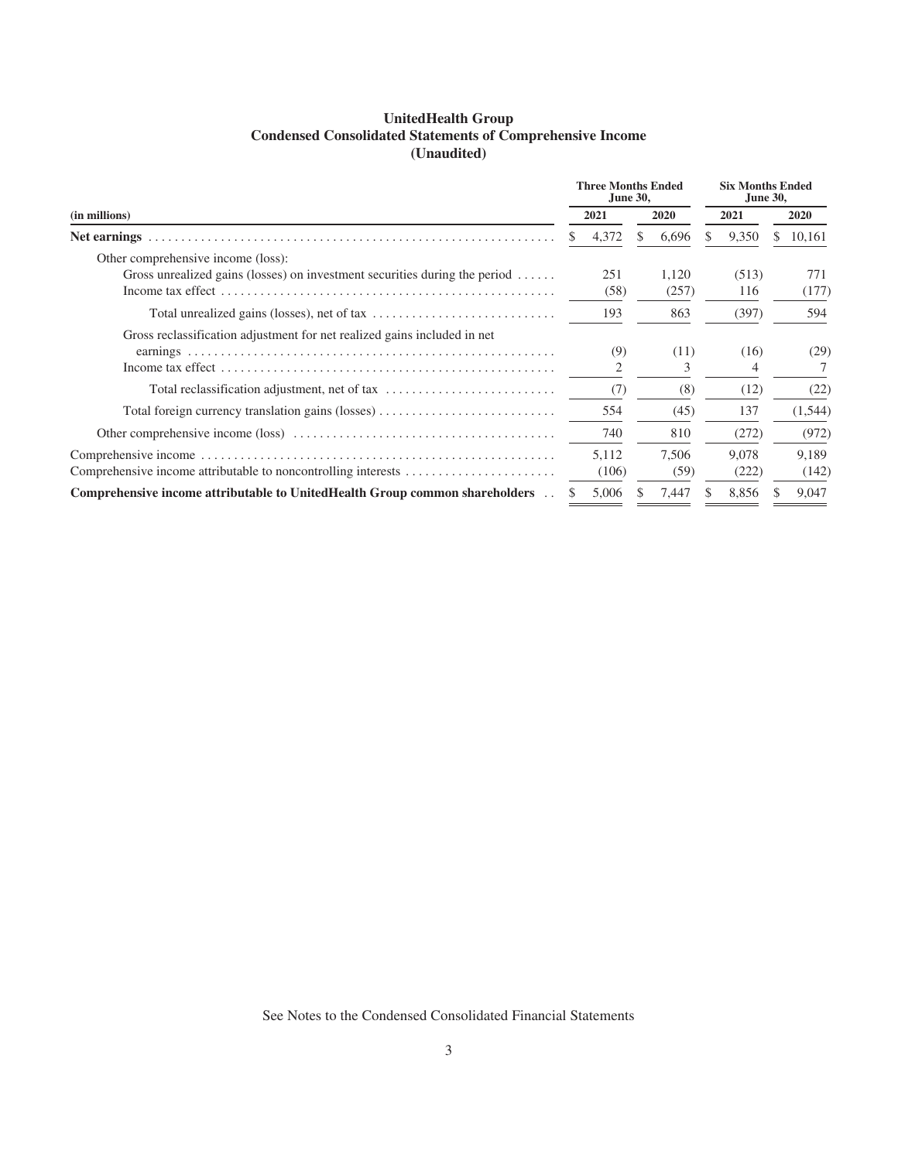| <b>UnitedHealth Group</b>                                        |
|------------------------------------------------------------------|
| <b>Condensed Consolidated Statements of Comprehensive Income</b> |
| (Unaudited)                                                      |

|                                                                                    |    | <b>Three Months Ended</b><br><b>June 30,</b> |                |  | <b>Six Months Ended</b><br><b>June 30,</b> |   |              |
|------------------------------------------------------------------------------------|----|----------------------------------------------|----------------|--|--------------------------------------------|---|--------------|
| (in millions)                                                                      |    | 2021                                         | 2020           |  | 2021                                       |   | <b>2020</b>  |
|                                                                                    | S. | 4,372                                        | 6,696          |  | 9,350                                      | S | 10,161       |
| Other comprehensive income (loss):                                                 |    |                                              |                |  |                                            |   |              |
| Gross unrealized gains (losses) on investment securities during the period $\dots$ |    | 251<br>(58)                                  | 1.120<br>(257) |  | (513)<br>116                               |   | 771<br>(177) |
|                                                                                    |    | 193                                          | 863            |  | (397)                                      |   | 594          |
| Gross reclassification adjustment for net realized gains included in net           |    |                                              |                |  |                                            |   |              |
|                                                                                    |    | (9)                                          | (11)           |  | (16)                                       |   | (29)         |
|                                                                                    |    |                                              | 3              |  |                                            |   |              |
| Total reclassification adjustment, net of tax                                      |    | (7)                                          | (8)            |  | (12)                                       |   | (22)         |
| Total foreign currency translation gains (losses)                                  |    | 554                                          | (45)           |  | 137                                        |   | (1, 544)     |
|                                                                                    |    | 740                                          | 810            |  | (272)                                      |   | (972)        |
|                                                                                    |    | 5,112                                        | 7,506          |  | 9.078                                      |   | 9.189        |
|                                                                                    |    | (106)                                        | (59)           |  | (222)                                      |   | (142)        |
| Comprehensive income attributable to UnitedHealth Group common shareholders        |    | 5,006                                        | 7,447          |  | 8,856                                      |   | 9,047        |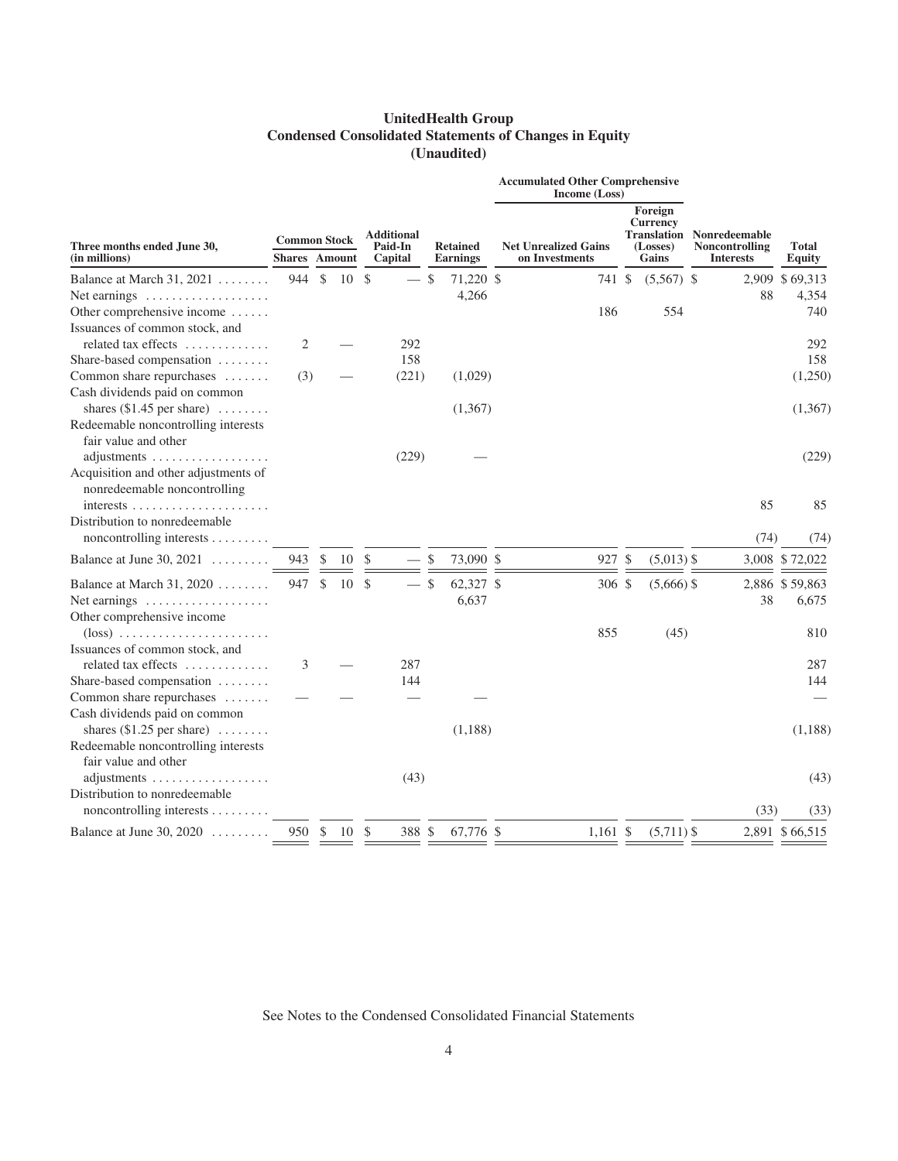# **UnitedHealth Group Condensed Consolidated Statements of Changes in Equity (Unaudited)**

|                                                                              |                                             |               |    |               |                                         |               |                                    | <b>Accumulated Other Comprehensive</b><br>Income (Loss) |                                                 |                                                                        |      |                        |
|------------------------------------------------------------------------------|---------------------------------------------|---------------|----|---------------|-----------------------------------------|---------------|------------------------------------|---------------------------------------------------------|-------------------------------------------------|------------------------------------------------------------------------|------|------------------------|
| Three months ended June 30,<br>(in millions)                                 | <b>Common Stock</b><br><b>Shares</b> Amount |               |    |               | <b>Additional</b><br>Paid-In<br>Capital |               | <b>Retained</b><br><b>Earnings</b> | <b>Net Unrealized Gains</b><br>on Investments           | Foreign<br><b>Currency</b><br>(Losses)<br>Gains | <b>Translation Nonredeemable</b><br>Noncontrolling<br><b>Interests</b> |      | <b>Total</b><br>Equity |
| Balance at March 31, 2021 $\ldots \ldots$                                    | 944                                         | \$            | 10 | <sup>\$</sup> |                                         | <sup>\$</sup> | 71,220 \$                          | 741 \$                                                  | $(5,567)$ \$                                    |                                                                        |      | 2,909 \$69,313         |
| Net earnings                                                                 |                                             |               |    |               |                                         |               | 4,266                              |                                                         |                                                 |                                                                        | 88   | 4,354                  |
| Other comprehensive income<br>Issuances of common stock, and                 |                                             |               |    |               |                                         |               |                                    | 186                                                     | 554                                             |                                                                        |      | 740                    |
| related tax effects                                                          | 2                                           |               |    |               | 292                                     |               |                                    |                                                         |                                                 |                                                                        |      | 292                    |
| Share-based compensation                                                     |                                             |               |    |               | 158                                     |               |                                    |                                                         |                                                 |                                                                        |      | 158                    |
| Common share repurchases                                                     | (3)                                         |               |    |               | (221)                                   |               | (1,029)                            |                                                         |                                                 |                                                                        |      | (1,250)                |
| Cash dividends paid on common<br>shares $(\$1.45$ per share) $\ldots \ldots$ |                                             |               |    |               |                                         |               | (1,367)                            |                                                         |                                                 |                                                                        |      | (1,367)                |
| Redeemable noncontrolling interests<br>fair value and other                  |                                             |               |    |               |                                         |               |                                    |                                                         |                                                 |                                                                        |      |                        |
| adjustments<br>Acquisition and other adjustments of                          |                                             |               |    |               | (229)                                   |               |                                    |                                                         |                                                 |                                                                        |      | (229)                  |
| nonredeemable noncontrolling<br>Distribution to nonredeemable                |                                             |               |    |               |                                         |               |                                    |                                                         |                                                 |                                                                        | 85   | 85                     |
| noncontrolling interests                                                     |                                             |               |    |               |                                         |               |                                    |                                                         |                                                 |                                                                        | (74) | (74)                   |
| Balance at June 30, $2021$                                                   | 943                                         | $\mathcal{S}$ | 10 | <sup>\$</sup> |                                         | $\mathcal{S}$ | 73,090 \$                          | 927 \$                                                  | $(5,013)$ \$                                    |                                                                        |      | 3,008 \$72,022         |
| Balance at March 31, 2020                                                    | 947                                         | \$            | 10 | <sup>\$</sup> |                                         | $\mathcal{S}$ | 62,327 \$                          | 306 \$                                                  | $(5,666)$ \$                                    |                                                                        |      | 2,886 \$59,863         |
| Net earnings $\dots\dots\dots\dots\dots\dots\dots$                           |                                             |               |    |               |                                         |               | 6,637                              |                                                         |                                                 |                                                                        | 38   | 6,675                  |
| Other comprehensive income                                                   |                                             |               |    |               |                                         |               |                                    |                                                         |                                                 |                                                                        |      |                        |
| $(\text{loss})$                                                              |                                             |               |    |               |                                         |               |                                    | 855                                                     | (45)                                            |                                                                        |      | 810                    |
| Issuances of common stock, and                                               |                                             |               |    |               |                                         |               |                                    |                                                         |                                                 |                                                                        |      |                        |
| related tax effects                                                          | 3                                           |               |    |               | 287                                     |               |                                    |                                                         |                                                 |                                                                        |      | 287                    |
| Share-based compensation                                                     |                                             |               |    |               | 144                                     |               |                                    |                                                         |                                                 |                                                                        |      | 144                    |
| Common share repurchases<br>Cash dividends paid on common                    |                                             |               |    |               |                                         |               |                                    |                                                         |                                                 |                                                                        |      |                        |
| shares $(\$1.25$ per share) $\dots\dots$                                     |                                             |               |    |               |                                         |               | (1,188)                            |                                                         |                                                 |                                                                        |      | (1,188)                |
| Redeemable noncontrolling interests                                          |                                             |               |    |               |                                         |               |                                    |                                                         |                                                 |                                                                        |      |                        |
| fair value and other                                                         |                                             |               |    |               |                                         |               |                                    |                                                         |                                                 |                                                                        |      |                        |
| adjustments                                                                  |                                             |               |    |               | (43)                                    |               |                                    |                                                         |                                                 |                                                                        |      | (43)                   |
| Distribution to nonredeemable                                                |                                             |               |    |               |                                         |               |                                    |                                                         |                                                 |                                                                        |      |                        |
| noncontrolling interests                                                     |                                             |               |    |               |                                         |               |                                    |                                                         |                                                 |                                                                        | (33) | (33)                   |
| Balance at June 30, 2020                                                     | 950                                         | \$            | 10 | <sup>\$</sup> | 388 \$                                  |               | 67,776 \$                          | $1,161$ \$                                              | $(5,711)$ \$                                    |                                                                        |      | 2,891 \$66,515         |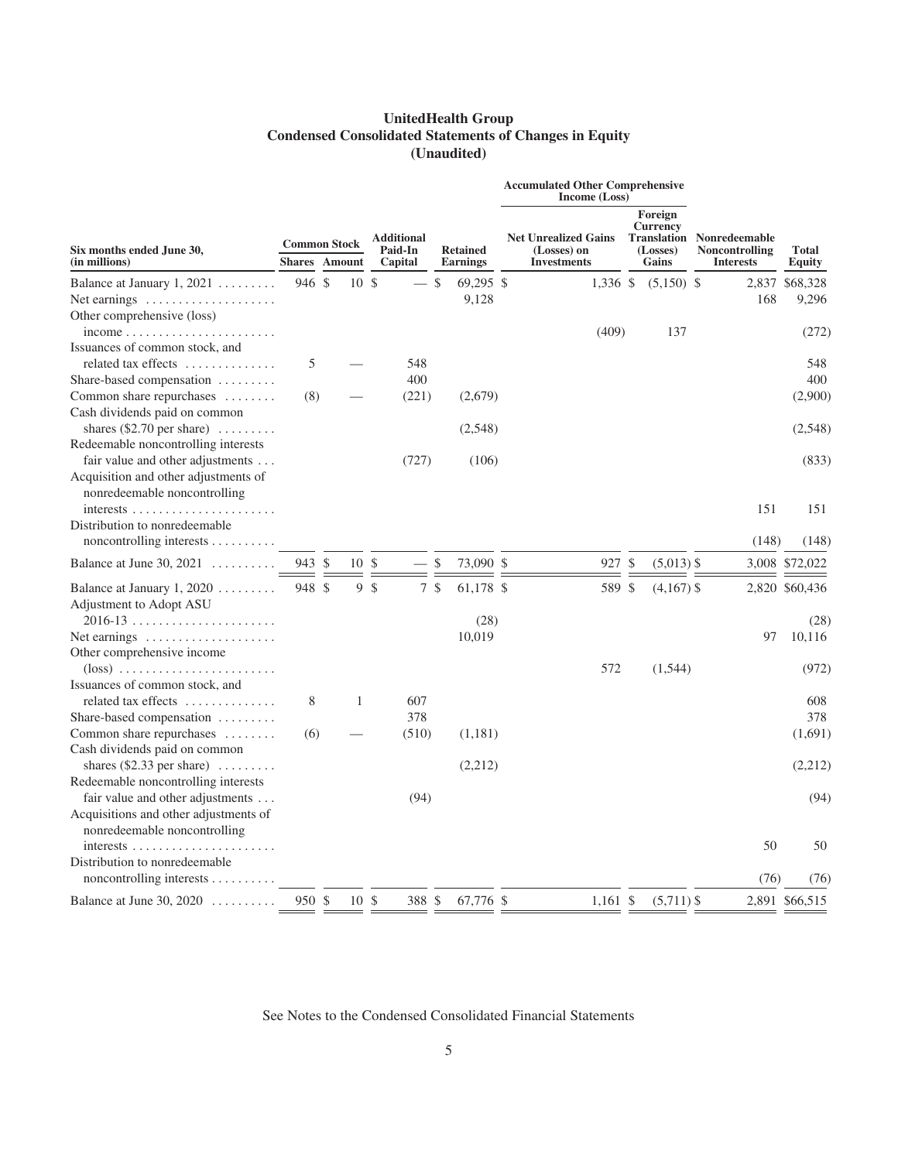# **UnitedHealth Group Condensed Consolidated Statements of Changes in Equity (Unaudited)**

|                                                                                                          |                                      |        |                                         |  |                             |               |                                                                  | <b>Accumulated Other Comprehensive</b><br><b>Income</b> (Loss) |                                                                               |  |                        |                |
|----------------------------------------------------------------------------------------------------------|--------------------------------------|--------|-----------------------------------------|--|-----------------------------|---------------|------------------------------------------------------------------|----------------------------------------------------------------|-------------------------------------------------------------------------------|--|------------------------|----------------|
| Six months ended June 30,<br>(in millions)                                                               | <b>Common Stock</b><br><b>Shares</b> | Amount | <b>Additional</b><br>Paid-In<br>Capital |  | <b>Retained</b><br>Earnings |               | <b>Net Unrealized Gains</b><br>(Losses) on<br><b>Investments</b> | Foreign<br><b>Currency</b><br>(Losses)<br>Gains                | <b>Translation Nonredeemable</b><br><b>Noncontrolling</b><br><b>Interests</b> |  | <b>Total</b><br>Equity |                |
| Balance at January $1, 2021$                                                                             | 946 \$                               |        | 10S                                     |  |                             | \$            | 69,295 \$                                                        | 1,336 \$                                                       | $(5,150)$ \$                                                                  |  |                        | 2,837 \$68,328 |
| Net earnings $\dots\dots\dots\dots\dots\dots\dots$<br>Other comprehensive (loss)                         |                                      |        |                                         |  |                             |               | 9,128                                                            |                                                                |                                                                               |  | 168                    | 9,296          |
| $income \ldots \ldots \ldots \ldots \ldots \ldots \ldots$<br>Issuances of common stock, and              |                                      |        |                                         |  |                             |               |                                                                  | (409)                                                          | 137                                                                           |  |                        | (272)          |
| related tax effects                                                                                      | 5                                    |        |                                         |  | 548<br>400                  |               |                                                                  |                                                                |                                                                               |  |                        | 548<br>400     |
| Share-based compensation $\dots\dots\dots$<br>Common share repurchases                                   | (8)                                  |        |                                         |  | (221)                       |               | (2,679)                                                          |                                                                |                                                                               |  |                        | (2,900)        |
| Cash dividends paid on common                                                                            |                                      |        |                                         |  |                             |               |                                                                  |                                                                |                                                                               |  |                        |                |
| shares $(\$2.70$ per share) $\ldots \ldots$<br>Redeemable noncontrolling interests                       |                                      |        |                                         |  |                             |               | (2,548)                                                          |                                                                |                                                                               |  |                        | (2,548)        |
| fair value and other adjustments<br>Acquisition and other adjustments of<br>nonredeemable noncontrolling |                                      |        |                                         |  | (727)                       |               | (106)                                                            |                                                                |                                                                               |  |                        | (833)          |
|                                                                                                          |                                      |        |                                         |  |                             |               |                                                                  |                                                                |                                                                               |  | 151                    | 151            |
| Distribution to nonredeemable<br>noncontrolling interests $\dots\dots\dots$                              |                                      |        |                                         |  |                             |               |                                                                  |                                                                |                                                                               |  | (148)                  | (148)          |
| Balance at June 30, $2021$                                                                               | 943 \$                               |        | 10S                                     |  |                             | $\mathcal{S}$ | 73,090 \$                                                        | 927 \$                                                         | $(5,013)$ \$                                                                  |  |                        | 3,008 \$72,022 |
| Balance at January 1, 2020 $\ldots \ldots$<br>Adjustment to Adopt ASU                                    | 948 \$                               |        | 9 <sup>°</sup>                          |  | 7 <sup>°</sup>              |               | 61,178 \$                                                        | 589 \$                                                         | $(4,167)$ \$                                                                  |  |                        | 2,820 \$60,436 |
| $2016 - 13$                                                                                              |                                      |        |                                         |  |                             |               | (28)                                                             |                                                                |                                                                               |  |                        | (28)           |
| Net earnings<br>Other comprehensive income                                                               |                                      |        |                                         |  |                             |               | 10,019                                                           |                                                                |                                                                               |  | 97                     | 10,116         |
| $(\text{loss})$<br>Issuances of common stock, and                                                        |                                      |        |                                         |  |                             |               |                                                                  | 572                                                            | (1, 544)                                                                      |  |                        | (972)          |
| related tax effects                                                                                      | 8                                    |        | $\mathbf{1}$                            |  | 607                         |               |                                                                  |                                                                |                                                                               |  |                        | 608            |
| Share-based compensation                                                                                 |                                      |        |                                         |  | 378                         |               |                                                                  |                                                                |                                                                               |  |                        | 378            |
| Common share repurchases<br>Cash dividends paid on common                                                | (6)                                  |        |                                         |  | (510)                       |               | (1,181)                                                          |                                                                |                                                                               |  |                        | (1,691)        |
| shares $(\$2.33$ per share)                                                                              |                                      |        |                                         |  |                             |               | (2,212)                                                          |                                                                |                                                                               |  |                        | (2,212)        |
| Redeemable noncontrolling interests<br>fair value and other adjustments                                  |                                      |        |                                         |  | (94)                        |               |                                                                  |                                                                |                                                                               |  |                        | (94)           |
| Acquisitions and other adjustments of<br>nonredeemable noncontrolling                                    |                                      |        |                                         |  |                             |               |                                                                  |                                                                |                                                                               |  |                        |                |
| Distribution to nonredeemable                                                                            |                                      |        |                                         |  |                             |               |                                                                  |                                                                |                                                                               |  | 50                     | 50             |
| noncontrolling interests $\dots\dots\dots$                                                               |                                      |        |                                         |  |                             |               |                                                                  |                                                                |                                                                               |  | (76)                   | (76)           |
| Balance at June 30, $2020$                                                                               | 950 \$                               |        | 10S                                     |  | 388 \$                      |               | 67,776 \$                                                        | $1,161$ \$                                                     | $(5,711)$ \$                                                                  |  |                        | 2,891 \$66,515 |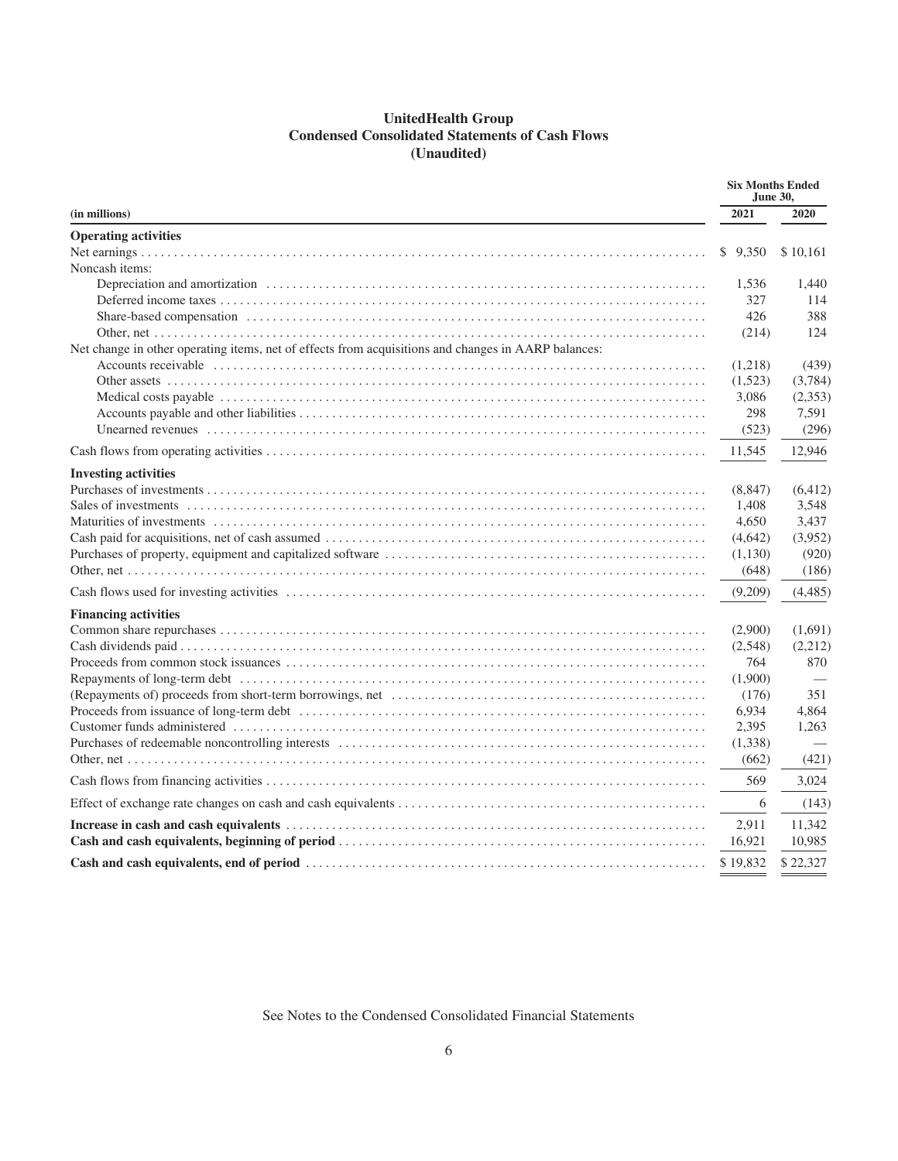# **UnitedHealth Group Condensed Consolidated Statements of Cash Flows (Unaudited)**

| (in millions)                                                                                       | 2021     | 2020     |  |  |  |
|-----------------------------------------------------------------------------------------------------|----------|----------|--|--|--|
| <b>Operating activities</b>                                                                         |          |          |  |  |  |
|                                                                                                     | \$9,350  | \$10,161 |  |  |  |
| Noncash items:                                                                                      |          |          |  |  |  |
|                                                                                                     | 1,536    | 1,440    |  |  |  |
|                                                                                                     | 327      | 114      |  |  |  |
|                                                                                                     | 426      | 388      |  |  |  |
|                                                                                                     | (214)    | 124      |  |  |  |
| Net change in other operating items, net of effects from acquisitions and changes in AARP balances: |          |          |  |  |  |
|                                                                                                     | (1,218)  | (439)    |  |  |  |
|                                                                                                     | (1,523)  | (3,784)  |  |  |  |
|                                                                                                     | 3,086    | (2,353)  |  |  |  |
|                                                                                                     | 298      | 7,591    |  |  |  |
|                                                                                                     | (523)    | (296)    |  |  |  |
|                                                                                                     | 11,545   | 12,946   |  |  |  |
| <b>Investing activities</b>                                                                         |          |          |  |  |  |
|                                                                                                     | (8, 847) | (6, 412) |  |  |  |
|                                                                                                     | 1,408    | 3,548    |  |  |  |
|                                                                                                     | 4,650    | 3,437    |  |  |  |
|                                                                                                     | (4,642)  | (3,952)  |  |  |  |
|                                                                                                     | (1,130)  | (920)    |  |  |  |
|                                                                                                     | (648)    | (186)    |  |  |  |
|                                                                                                     | (9,209)  | (4,485)  |  |  |  |
| <b>Financing activities</b>                                                                         |          |          |  |  |  |
|                                                                                                     | (2,900)  | (1,691)  |  |  |  |
|                                                                                                     | (2,548)  | (2,212)  |  |  |  |
|                                                                                                     | 764      | 870      |  |  |  |
|                                                                                                     | (1,900)  |          |  |  |  |
|                                                                                                     | (176)    | 351      |  |  |  |
|                                                                                                     | 6,934    | 4,864    |  |  |  |
|                                                                                                     | 2,395    | 1,263    |  |  |  |
|                                                                                                     | (1,338)  |          |  |  |  |
|                                                                                                     | (662)    | (421)    |  |  |  |
|                                                                                                     | 569      | 3,024    |  |  |  |
|                                                                                                     | 6        | (143)    |  |  |  |
|                                                                                                     | 2,911    | 11,342   |  |  |  |
|                                                                                                     | 16,921   | 10,985   |  |  |  |
|                                                                                                     | \$19,832 | \$22,327 |  |  |  |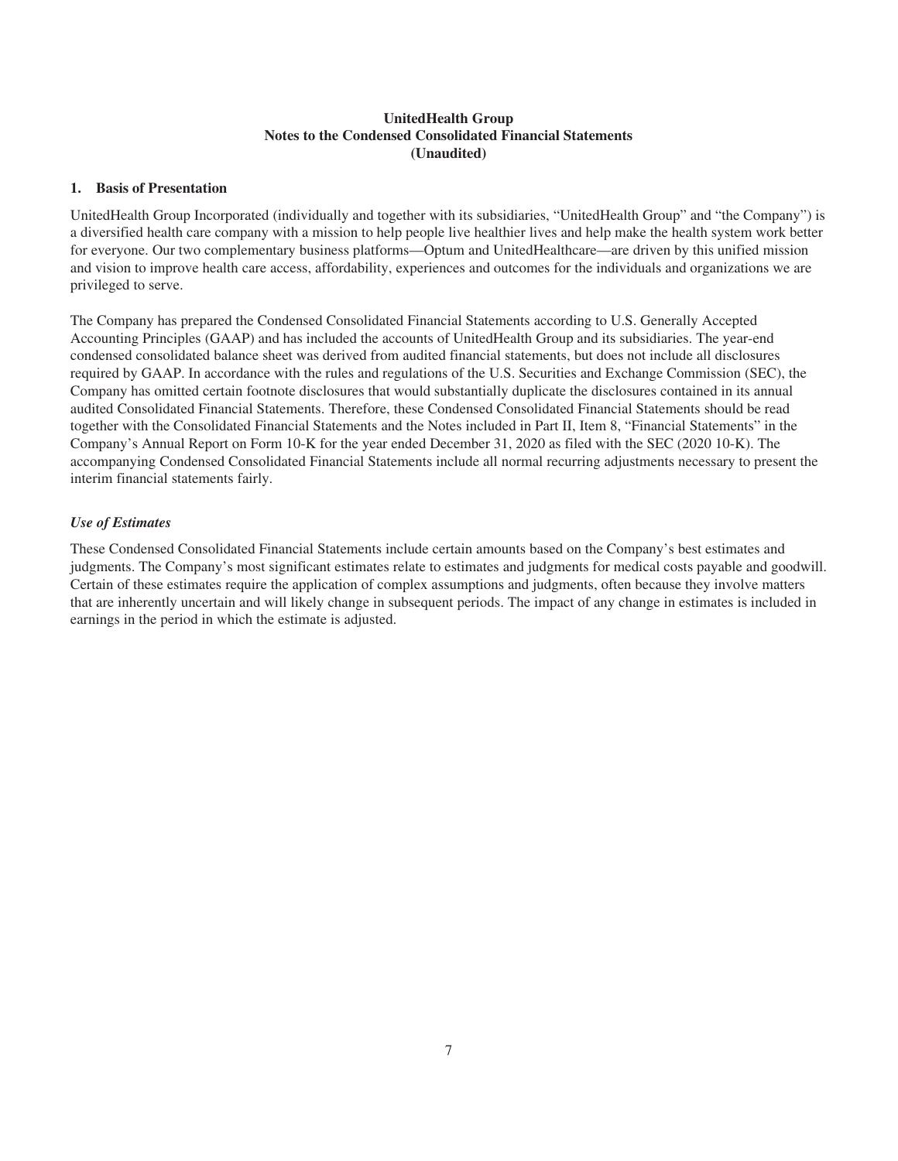# **UnitedHealth Group Notes to the Condensed Consolidated Financial Statements (Unaudited)**

#### **1. Basis of Presentation**

UnitedHealth Group Incorporated (individually and together with its subsidiaries, "UnitedHealth Group" and "the Company") is a diversified health care company with a mission to help people live healthier lives and help make the health system work better for everyone. Our two complementary business platforms—Optum and UnitedHealthcare—are driven by this unified mission and vision to improve health care access, affordability, experiences and outcomes for the individuals and organizations we are privileged to serve.

The Company has prepared the Condensed Consolidated Financial Statements according to U.S. Generally Accepted Accounting Principles (GAAP) and has included the accounts of UnitedHealth Group and its subsidiaries. The year-end condensed consolidated balance sheet was derived from audited financial statements, but does not include all disclosures required by GAAP. In accordance with the rules and regulations of the U.S. Securities and Exchange Commission (SEC), the Company has omitted certain footnote disclosures that would substantially duplicate the disclosures contained in its annual audited Consolidated Financial Statements. Therefore, these Condensed Consolidated Financial Statements should be read together with the Consolidated Financial Statements and the Notes included in Part II, Item 8, "Financial Statements" in the Company's Annual Report on Form 10-K for the year ended December 31, 2020 as filed with the SEC (2020 10-K). The accompanying Condensed Consolidated Financial Statements include all normal recurring adjustments necessary to present the interim financial statements fairly.

#### *Use of Estimates*

These Condensed Consolidated Financial Statements include certain amounts based on the Company's best estimates and judgments. The Company's most significant estimates relate to estimates and judgments for medical costs payable and goodwill. Certain of these estimates require the application of complex assumptions and judgments, often because they involve matters that are inherently uncertain and will likely change in subsequent periods. The impact of any change in estimates is included in earnings in the period in which the estimate is adjusted.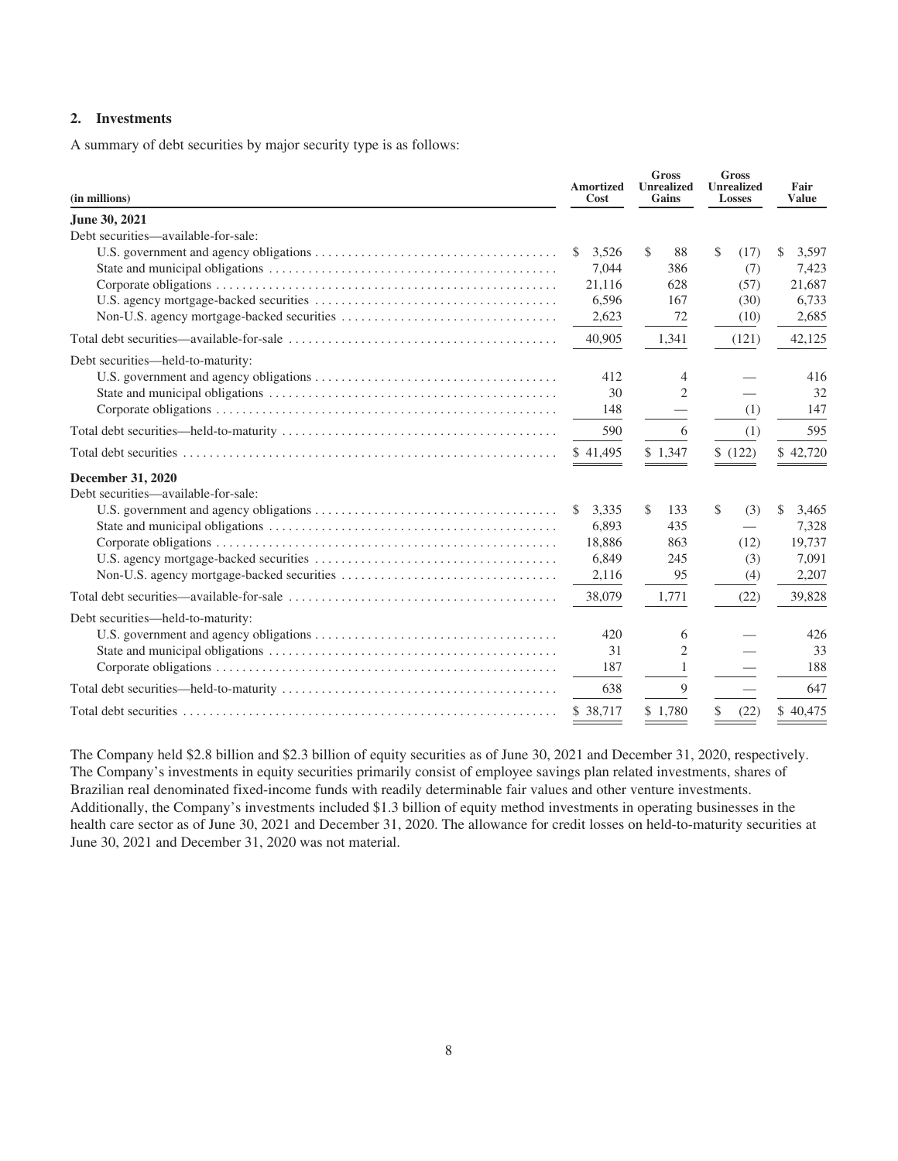# **2. Investments**

A summary of debt securities by major security type is as follows:

| (in millions)                       | <b>Amortized</b><br>Cost | <b>Gross</b><br><b>Unrealized</b><br>Gains | <b>Gross</b><br><b>Unrealized</b><br><b>Losses</b> | Fair<br><b>Value</b> |
|-------------------------------------|--------------------------|--------------------------------------------|----------------------------------------------------|----------------------|
| June 30, 2021                       |                          |                                            |                                                    |                      |
| Debt securities—available-for-sale: |                          |                                            |                                                    |                      |
|                                     | 3,526<br><sup>\$</sup>   | \$<br>88                                   | \$<br>(17)                                         | \$<br>3,597          |
|                                     | 7,044                    | 386                                        | (7)                                                | 7,423                |
|                                     | 21,116                   | 628                                        | (57)                                               | 21,687               |
|                                     | 6,596                    | 167                                        | (30)                                               | 6,733                |
|                                     | 2,623                    | 72                                         | (10)                                               | 2,685                |
|                                     | 40,905                   | 1,341                                      | (121)                                              | 42,125               |
| Debt securities—held-to-maturity:   |                          |                                            |                                                    |                      |
|                                     | 412                      | 4                                          |                                                    | 416                  |
|                                     | 30                       | 2                                          |                                                    | 32                   |
|                                     | 148                      |                                            | (1)                                                | 147                  |
|                                     | 590                      | 6                                          | (1)                                                | 595                  |
|                                     | \$41,495                 | \$1,347                                    | \$(122)                                            | \$42,720             |
| <b>December 31, 2020</b>            |                          |                                            |                                                    |                      |
| Debt securities—available-for-sale: |                          |                                            |                                                    |                      |
|                                     | 3,335<br>\$              | \$.<br>133                                 | \$<br>(3)                                          | 3,465<br>S           |
|                                     | 6.893                    | 435                                        | $\overline{\phantom{0}}$                           | 7,328                |
|                                     | 18,886                   | 863                                        | (12)                                               | 19,737               |
|                                     | 6,849                    | 245                                        | (3)                                                | 7,091                |
|                                     | 2,116                    | 95                                         | (4)                                                | 2,207                |
|                                     | 38,079                   | 1,771                                      | (22)                                               | 39,828               |
| Debt securities—held-to-maturity:   |                          |                                            |                                                    |                      |
|                                     | 420                      | 6                                          |                                                    | 426                  |
|                                     | 31                       | 2                                          |                                                    | 33                   |
|                                     | 187                      | 1                                          |                                                    | 188                  |
|                                     | 638                      | 9                                          |                                                    | 647                  |
|                                     | \$38,717                 | \$1.780                                    | \$<br>(22)                                         | \$40,475             |

The Company held \$2.8 billion and \$2.3 billion of equity securities as of June 30, 2021 and December 31, 2020, respectively. The Company's investments in equity securities primarily consist of employee savings plan related investments, shares of Brazilian real denominated fixed-income funds with readily determinable fair values and other venture investments. Additionally, the Company's investments included \$1.3 billion of equity method investments in operating businesses in the health care sector as of June 30, 2021 and December 31, 2020. The allowance for credit losses on held-to-maturity securities at June 30, 2021 and December 31, 2020 was not material.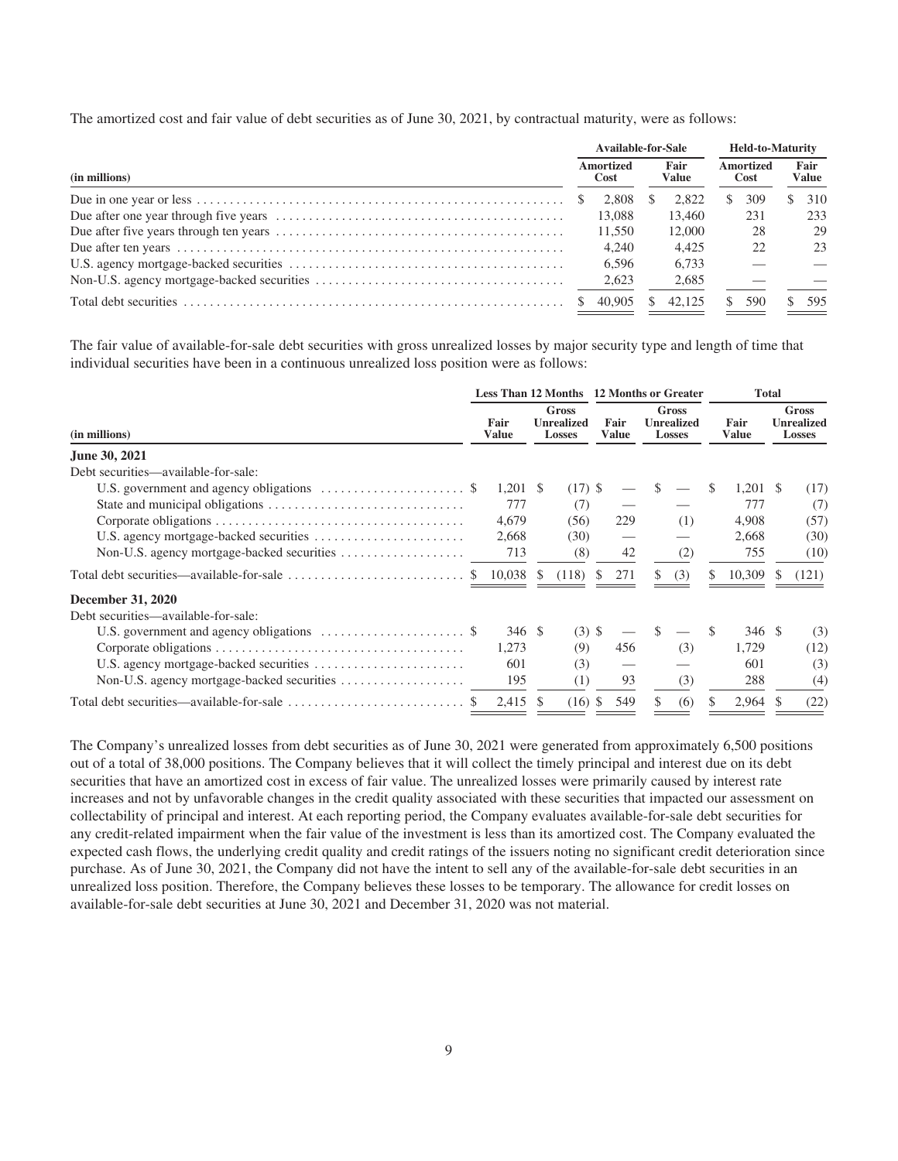The amortized cost and fair value of debt securities as of June 30, 2021, by contractual maturity, were as follows:

|               | Available-for-Sale |                   |    | <b>Held-to-Maturity</b> |    |                          |  |                      |  |
|---------------|--------------------|-------------------|----|-------------------------|----|--------------------------|--|----------------------|--|
| (in millions) |                    | Amortized<br>Cost |    | Fair<br><b>Value</b>    |    | <b>Amortized</b><br>Cost |  | Fair<br><b>Value</b> |  |
|               |                    | 2.808             |    | 2.822                   | S. | 309                      |  | 310                  |  |
|               |                    | 13,088            |    | 13.460                  |    | 231                      |  | 233                  |  |
|               |                    | 11,550            |    | 12,000                  |    | 28                       |  | 29                   |  |
|               |                    | 4.240             |    | 4.425                   |    | 22                       |  | 23                   |  |
|               |                    | 6.596             |    | 6.733                   |    |                          |  |                      |  |
|               |                    | 2,623             |    | 2.685                   |    |                          |  |                      |  |
|               |                    | 40.905            | S. | 42.125                  |    | 590                      |  | 595                  |  |

The fair value of available-for-sale debt securities with gross unrealized losses by major security type and length of time that individual securities have been in a continuous unrealized loss position were as follows:

|                                                                                               |     |                      |                                             |           | Less Than 12 Months 12 Months or Greater |     |                                      |     |     | <b>Total</b>         |                                                    |       |  |  |
|-----------------------------------------------------------------------------------------------|-----|----------------------|---------------------------------------------|-----------|------------------------------------------|-----|--------------------------------------|-----|-----|----------------------|----------------------------------------------------|-------|--|--|
| (in millions)                                                                                 |     | Fair<br><b>Value</b> | Gross<br><b>Unrealized</b><br><b>Losses</b> |           | Fair<br><b>Value</b>                     |     | Gross<br><b>Unrealized</b><br>Losses |     |     | Fair<br><b>Value</b> | <b>Gross</b><br><b>Unrealized</b><br><b>Losses</b> |       |  |  |
| June 30, 2021                                                                                 |     |                      |                                             |           |                                          |     |                                      |     |     |                      |                                                    |       |  |  |
| Debt securities—available-for-sale:                                                           |     |                      |                                             |           |                                          |     |                                      |     |     |                      |                                                    |       |  |  |
| U.S. government and agency obligations $\dots \dots \dots \dots \dots \dots$                  |     | $1,201$ \$           |                                             | $(17)$ \$ |                                          |     |                                      |     | \$. | $1,201$ \$           |                                                    | (17)  |  |  |
|                                                                                               |     | 777                  |                                             | (7)       |                                          |     |                                      |     |     | 777                  |                                                    | (7)   |  |  |
|                                                                                               |     | 4,679                |                                             | (56)      |                                          | 229 |                                      | (1) |     | 4,908                |                                                    | (57)  |  |  |
|                                                                                               |     | 2,668                |                                             | (30)      |                                          |     |                                      |     |     | 2,668                |                                                    | (30)  |  |  |
|                                                                                               |     | 713                  |                                             | (8)       |                                          | 42  |                                      | (2) |     | 755                  |                                                    | (10)  |  |  |
| Total debt securities—available-for-sale $\dots\dots\dots\dots\dots\dots\dots\dots\dots\dots$ | -SS | 10,038               | -S                                          | (118)     | <sup>\$</sup>                            | 271 |                                      | (3) |     | 10,309               |                                                    | (121) |  |  |
| <b>December 31, 2020</b>                                                                      |     |                      |                                             |           |                                          |     |                                      |     |     |                      |                                                    |       |  |  |
| Debt securities—available-for-sale:                                                           |     |                      |                                             |           |                                          |     |                                      |     |     |                      |                                                    |       |  |  |
| U.S. government and agency obligations $\dots \dots \dots \dots \dots \dots$                  |     | 346S                 |                                             | $(3)$ \$  |                                          |     | S.                                   |     |     | 346 \$               |                                                    | (3)   |  |  |
|                                                                                               |     | 1,273                |                                             | (9)       |                                          | 456 |                                      | (3) |     | 1,729                |                                                    | (12)  |  |  |
|                                                                                               |     | 601                  |                                             | (3)       |                                          |     |                                      |     |     | 601                  |                                                    | (3)   |  |  |
|                                                                                               |     | 195                  |                                             | (1)       |                                          | 93  |                                      | (3) |     | 288                  |                                                    | (4)   |  |  |
|                                                                                               |     | 2,415                | - \$                                        | $(16)$ \$ |                                          | 549 |                                      | (6) |     | 2,964 \$             |                                                    | (22)  |  |  |
|                                                                                               |     |                      |                                             |           |                                          |     |                                      |     |     |                      |                                                    |       |  |  |

The Company's unrealized losses from debt securities as of June 30, 2021 were generated from approximately 6,500 positions out of a total of 38,000 positions. The Company believes that it will collect the timely principal and interest due on its debt securities that have an amortized cost in excess of fair value. The unrealized losses were primarily caused by interest rate increases and not by unfavorable changes in the credit quality associated with these securities that impacted our assessment on collectability of principal and interest. At each reporting period, the Company evaluates available-for-sale debt securities for any credit-related impairment when the fair value of the investment is less than its amortized cost. The Company evaluated the expected cash flows, the underlying credit quality and credit ratings of the issuers noting no significant credit deterioration since purchase. As of June 30, 2021, the Company did not have the intent to sell any of the available-for-sale debt securities in an unrealized loss position. Therefore, the Company believes these losses to be temporary. The allowance for credit losses on available-for-sale debt securities at June 30, 2021 and December 31, 2020 was not material.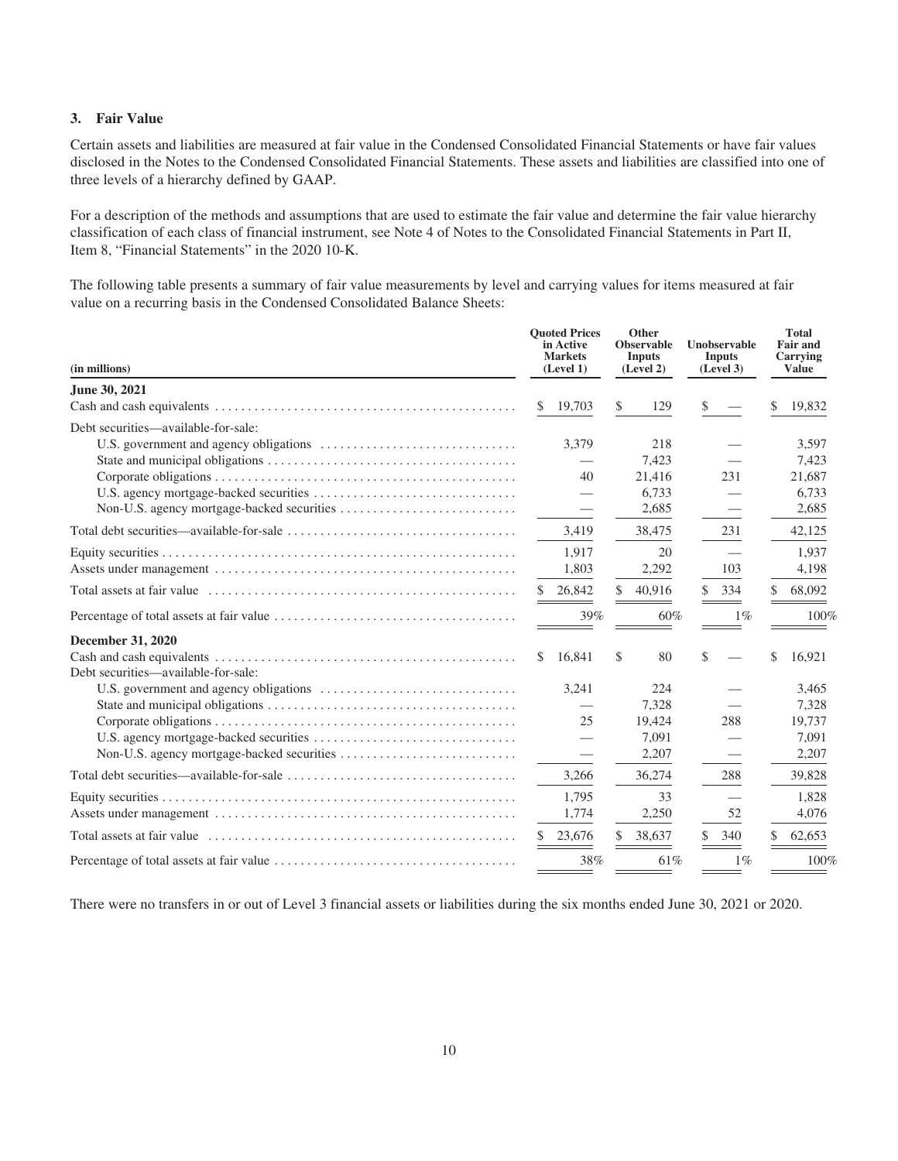#### **3. Fair Value**

Certain assets and liabilities are measured at fair value in the Condensed Consolidated Financial Statements or have fair values disclosed in the Notes to the Condensed Consolidated Financial Statements. These assets and liabilities are classified into one of three levels of a hierarchy defined by GAAP.

For a description of the methods and assumptions that are used to estimate the fair value and determine the fair value hierarchy classification of each class of financial instrument, see Note 4 of Notes to the Consolidated Financial Statements in Part II, Item 8, "Financial Statements" in the 2020 10-K.

The following table presents a summary of fair value measurements by level and carrying values for items measured at fair value on a recurring basis in the Condensed Consolidated Balance Sheets:

| (in millions)                       |              | <b>Ouoted Prices</b><br>in Active<br><b>Markets</b><br>(Level 1) |               | Other<br><b>Observable</b><br><b>Inputs</b><br>(Level 2) |    | Unobservable<br><b>Inputs</b><br>(Level 3) |     | <b>Total</b><br><b>Fair and</b><br>Carrying<br><b>Value</b> |
|-------------------------------------|--------------|------------------------------------------------------------------|---------------|----------------------------------------------------------|----|--------------------------------------------|-----|-------------------------------------------------------------|
| June 30, 2021                       |              |                                                                  |               |                                                          |    |                                            |     |                                                             |
|                                     | \$           | 19,703                                                           | \$            | 129                                                      | \$ |                                            | \$  | 19,832                                                      |
| Debt securities—available-for-sale: |              | 3,379                                                            |               | 218                                                      |    |                                            |     | 3,597                                                       |
|                                     |              |                                                                  |               | 7,423                                                    |    |                                            |     | 7,423                                                       |
|                                     |              | 40                                                               |               | 21,416<br>6,733                                          |    | 231                                        |     | 21,687<br>6,733                                             |
|                                     |              |                                                                  |               | 2,685                                                    |    |                                            |     | 2,685                                                       |
|                                     |              | 3,419                                                            |               | 38,475                                                   |    | 231                                        |     | 42,125                                                      |
|                                     |              | 1.917                                                            |               | 20                                                       |    |                                            |     | 1.937                                                       |
|                                     |              | 1.803                                                            |               | 2,292                                                    |    | 103                                        |     | 4,198                                                       |
|                                     | S.           | 26,842                                                           | <sup>\$</sup> | 40,916                                                   | S. | 334                                        | \$. | 68,092                                                      |
|                                     |              | 39%                                                              |               | 60%                                                      |    | $1\%$                                      |     | 100%                                                        |
| December 31, 2020                   |              |                                                                  |               |                                                          |    |                                            |     |                                                             |
| Debt securities—available-for-sale: | $\mathbb{S}$ | 16,841                                                           | \$            | 80                                                       | \$ |                                            | \$  | 16,921                                                      |
|                                     |              | 3,241                                                            |               | 224                                                      |    |                                            |     | 3,465                                                       |
|                                     |              |                                                                  |               | 7,328                                                    |    |                                            |     | 7,328                                                       |
|                                     |              | 25                                                               |               | 19,424                                                   |    | 288                                        |     | 19,737                                                      |
|                                     |              | $\overline{\phantom{0}}$                                         |               | 7,091                                                    |    |                                            |     | 7,091                                                       |
|                                     |              |                                                                  |               | 2,207                                                    |    |                                            |     | 2,207                                                       |
|                                     |              | 3,266                                                            |               | 36,274                                                   |    | 288                                        |     | 39,828                                                      |
|                                     |              | 1,795                                                            |               | 33                                                       |    |                                            |     | 1,828                                                       |
|                                     |              | 1,774                                                            |               | 2,250                                                    |    | 52                                         |     | 4,076                                                       |
|                                     |              | 23,676                                                           | \$            | 38,637                                                   | S. | 340                                        | \$  | 62,653                                                      |
|                                     |              | 38%                                                              |               | 61%                                                      |    | $1\%$                                      |     | 100%                                                        |

There were no transfers in or out of Level 3 financial assets or liabilities during the six months ended June 30, 2021 or 2020.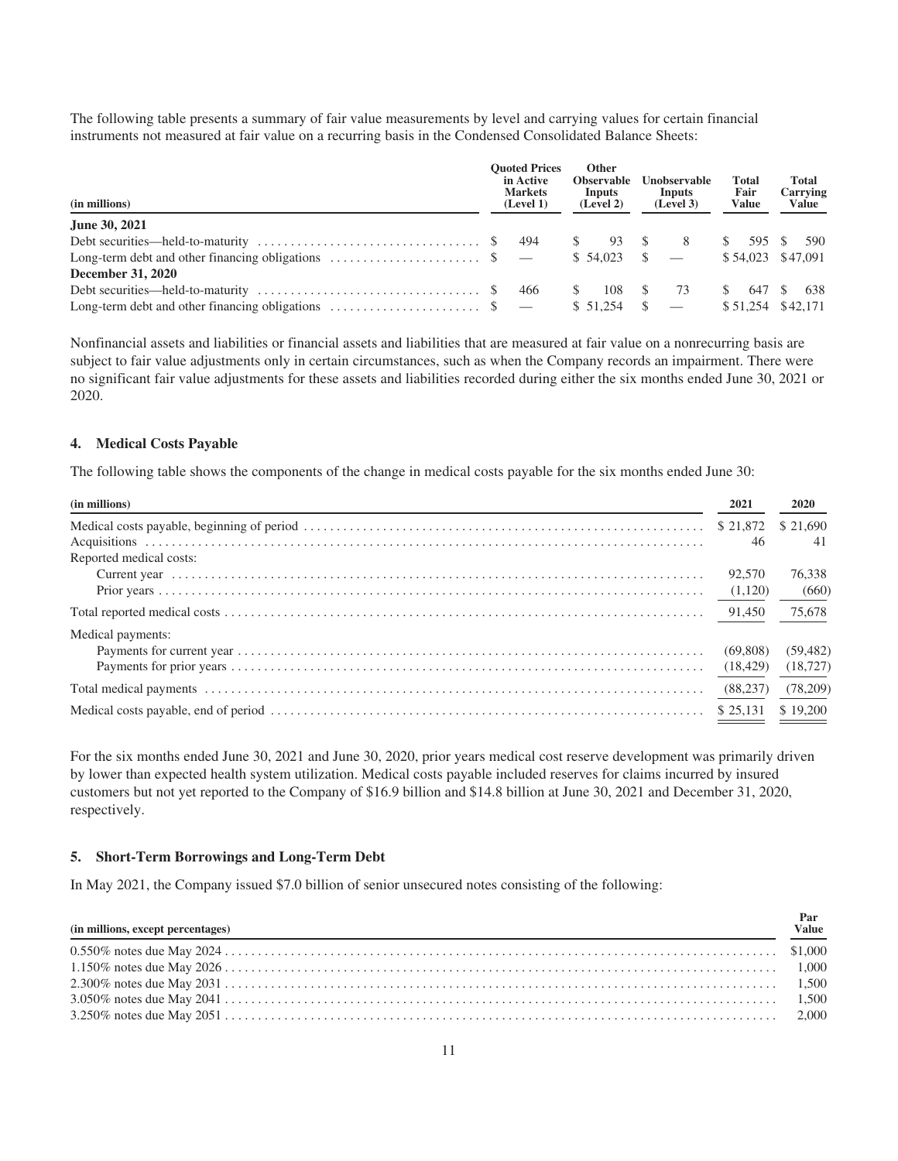The following table presents a summary of fair value measurements by level and carrying values for certain financial instruments not measured at fair value on a recurring basis in the Condensed Consolidated Balance Sheets:

| (in millions)                                                                                     | <b>Ouoted Prices</b><br>in Active<br><b>Markets</b><br>(Level 1) | <b>Other</b><br><b>Observable</b><br>Inputs<br>(Level 2) | <b>Unobservable</b><br>Inputs<br>(Level 3) | <b>Total</b><br>Fair<br><b>Value</b> | <b>Total</b><br>Carrying<br>Value |  |
|---------------------------------------------------------------------------------------------------|------------------------------------------------------------------|----------------------------------------------------------|--------------------------------------------|--------------------------------------|-----------------------------------|--|
| June 30, 2021                                                                                     |                                                                  |                                                          |                                            |                                      |                                   |  |
|                                                                                                   |                                                                  | $\mathbb{S}$ and $\mathbb{S}$<br>93                      | 8<br>$\mathbb{S}$                          | S.<br>595 S                          | 590                               |  |
| Long-term debt and other financing obligations $\dots \dots \dots \dots \dots \dots$ \$ —         |                                                                  | $$54,023$ \$ -                                           |                                            |                                      | $$54,023$ $$47,091$               |  |
| December 31, 2020                                                                                 |                                                                  |                                                          |                                            |                                      |                                   |  |
| Debt securities—held-to-maturity $\dots \dots \dots \dots \dots \dots \dots \dots \dots \dots$ \$ | 466                                                              | 108                                                      | 73                                         | 647                                  | 638                               |  |
| Long-term debt and other financing obligations $\ldots$ \$                                        |                                                                  | \$51.254                                                 |                                            |                                      | \$51,254 \$42,171                 |  |

Nonfinancial assets and liabilities or financial assets and liabilities that are measured at fair value on a nonrecurring basis are subject to fair value adjustments only in certain circumstances, such as when the Company records an impairment. There were no significant fair value adjustments for these assets and liabilities recorded during either the six months ended June 30, 2021 or 2020.

#### **4. Medical Costs Payable**

The following table shows the components of the change in medical costs payable for the six months ended June 30:

| (in millions)           | 2021     | 2020      |
|-------------------------|----------|-----------|
|                         |          |           |
|                         | 46       | 41        |
| Reported medical costs: |          |           |
|                         | 92.570   | 76,338    |
|                         |          | (660)     |
|                         |          | 75,678    |
| Medical payments:       |          |           |
|                         | (69,808) | (59, 482) |
|                         |          |           |
|                         |          | (78,209)  |
|                         |          | \$19,200  |

For the six months ended June 30, 2021 and June 30, 2020, prior years medical cost reserve development was primarily driven by lower than expected health system utilization. Medical costs payable included reserves for claims incurred by insured customers but not yet reported to the Company of \$16.9 billion and \$14.8 billion at June 30, 2021 and December 31, 2020, respectively.

#### **5. Short-Term Borrowings and Long-Term Debt**

In May 2021, the Company issued \$7.0 billion of senior unsecured notes consisting of the following:

| (in millions, except percentages)<br><u> 1989 - Jan Salaman Salaman (j. 1989)</u> | Par<br>Value |
|-----------------------------------------------------------------------------------|--------------|
|                                                                                   |              |
|                                                                                   |              |
|                                                                                   |              |
|                                                                                   |              |
|                                                                                   |              |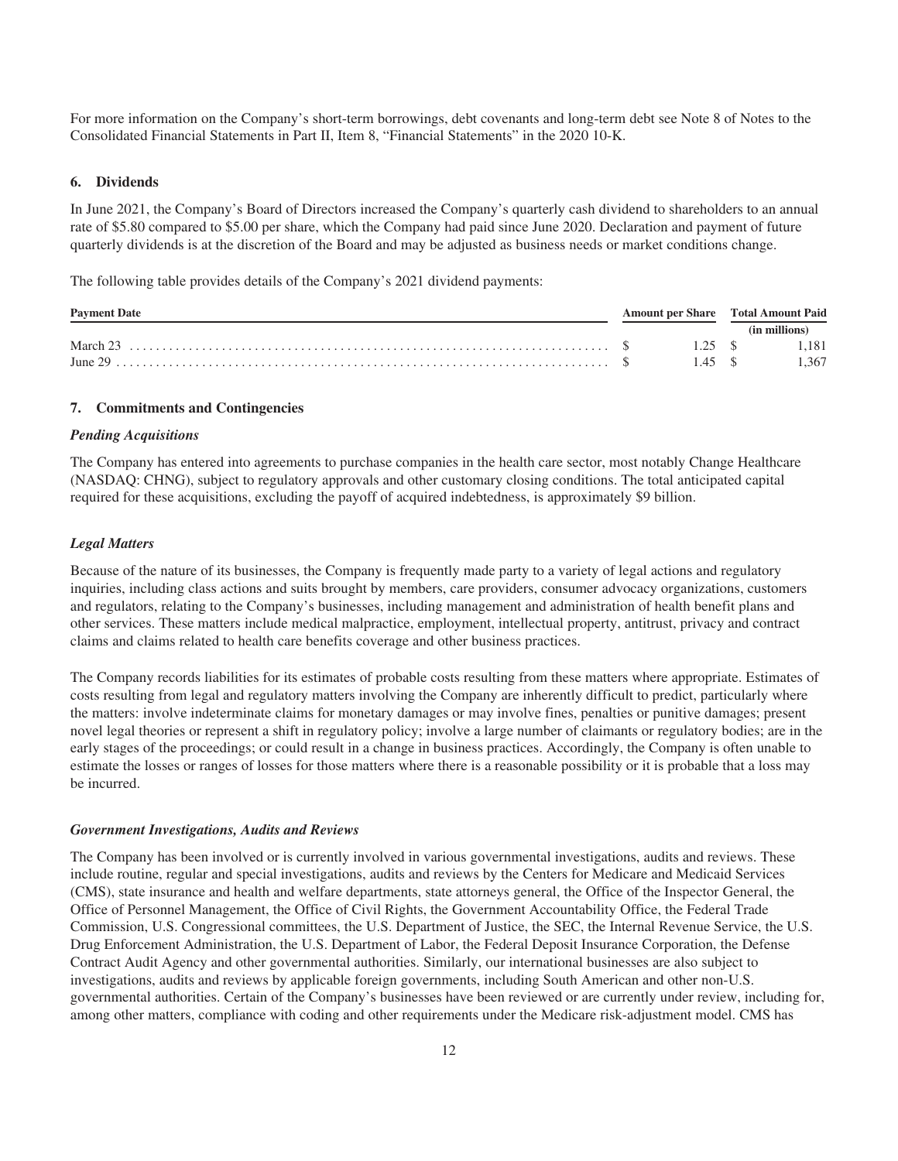For more information on the Company's short-term borrowings, debt covenants and long-term debt see Note 8 of Notes to the Consolidated Financial Statements in Part II, Item 8, "Financial Statements" in the 2020 10-K.

#### **6. Dividends**

In June 2021, the Company's Board of Directors increased the Company's quarterly cash dividend to shareholders to an annual rate of \$5.80 compared to \$5.00 per share, which the Company had paid since June 2020. Declaration and payment of future quarterly dividends is at the discretion of the Board and may be adjusted as business needs or market conditions change.

The following table provides details of the Company's 2021 dividend payments:

| <b>Payment Date</b> |  |         | Amount per Share Total Amount Paid |  |  |
|---------------------|--|---------|------------------------------------|--|--|
|                     |  |         | (in millions)                      |  |  |
|                     |  | 1.25 \$ | 1.181                              |  |  |
|                     |  |         | 1.367                              |  |  |

#### **7. Commitments and Contingencies**

#### *Pending Acquisitions*

The Company has entered into agreements to purchase companies in the health care sector, most notably Change Healthcare (NASDAQ: CHNG), subject to regulatory approvals and other customary closing conditions. The total anticipated capital required for these acquisitions, excluding the payoff of acquired indebtedness, is approximately \$9 billion.

#### *Legal Matters*

Because of the nature of its businesses, the Company is frequently made party to a variety of legal actions and regulatory inquiries, including class actions and suits brought by members, care providers, consumer advocacy organizations, customers and regulators, relating to the Company's businesses, including management and administration of health benefit plans and other services. These matters include medical malpractice, employment, intellectual property, antitrust, privacy and contract claims and claims related to health care benefits coverage and other business practices.

The Company records liabilities for its estimates of probable costs resulting from these matters where appropriate. Estimates of costs resulting from legal and regulatory matters involving the Company are inherently difficult to predict, particularly where the matters: involve indeterminate claims for monetary damages or may involve fines, penalties or punitive damages; present novel legal theories or represent a shift in regulatory policy; involve a large number of claimants or regulatory bodies; are in the early stages of the proceedings; or could result in a change in business practices. Accordingly, the Company is often unable to estimate the losses or ranges of losses for those matters where there is a reasonable possibility or it is probable that a loss may be incurred.

#### *Government Investigations, Audits and Reviews*

The Company has been involved or is currently involved in various governmental investigations, audits and reviews. These include routine, regular and special investigations, audits and reviews by the Centers for Medicare and Medicaid Services (CMS), state insurance and health and welfare departments, state attorneys general, the Office of the Inspector General, the Office of Personnel Management, the Office of Civil Rights, the Government Accountability Office, the Federal Trade Commission, U.S. Congressional committees, the U.S. Department of Justice, the SEC, the Internal Revenue Service, the U.S. Drug Enforcement Administration, the U.S. Department of Labor, the Federal Deposit Insurance Corporation, the Defense Contract Audit Agency and other governmental authorities. Similarly, our international businesses are also subject to investigations, audits and reviews by applicable foreign governments, including South American and other non-U.S. governmental authorities. Certain of the Company's businesses have been reviewed or are currently under review, including for, among other matters, compliance with coding and other requirements under the Medicare risk-adjustment model. CMS has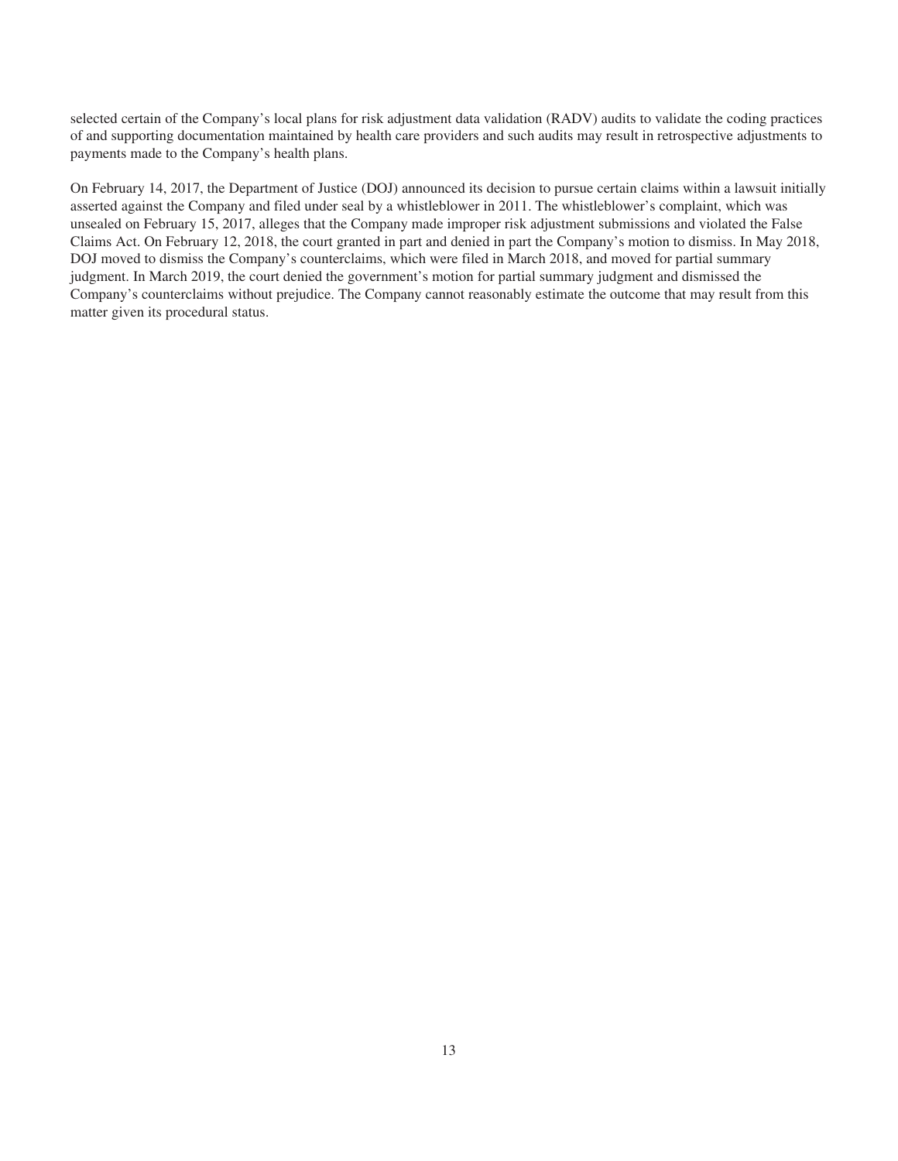selected certain of the Company's local plans for risk adjustment data validation (RADV) audits to validate the coding practices of and supporting documentation maintained by health care providers and such audits may result in retrospective adjustments to payments made to the Company's health plans.

On February 14, 2017, the Department of Justice (DOJ) announced its decision to pursue certain claims within a lawsuit initially asserted against the Company and filed under seal by a whistleblower in 2011. The whistleblower's complaint, which was unsealed on February 15, 2017, alleges that the Company made improper risk adjustment submissions and violated the False Claims Act. On February 12, 2018, the court granted in part and denied in part the Company's motion to dismiss. In May 2018, DOJ moved to dismiss the Company's counterclaims, which were filed in March 2018, and moved for partial summary judgment. In March 2019, the court denied the government's motion for partial summary judgment and dismissed the Company's counterclaims without prejudice. The Company cannot reasonably estimate the outcome that may result from this matter given its procedural status.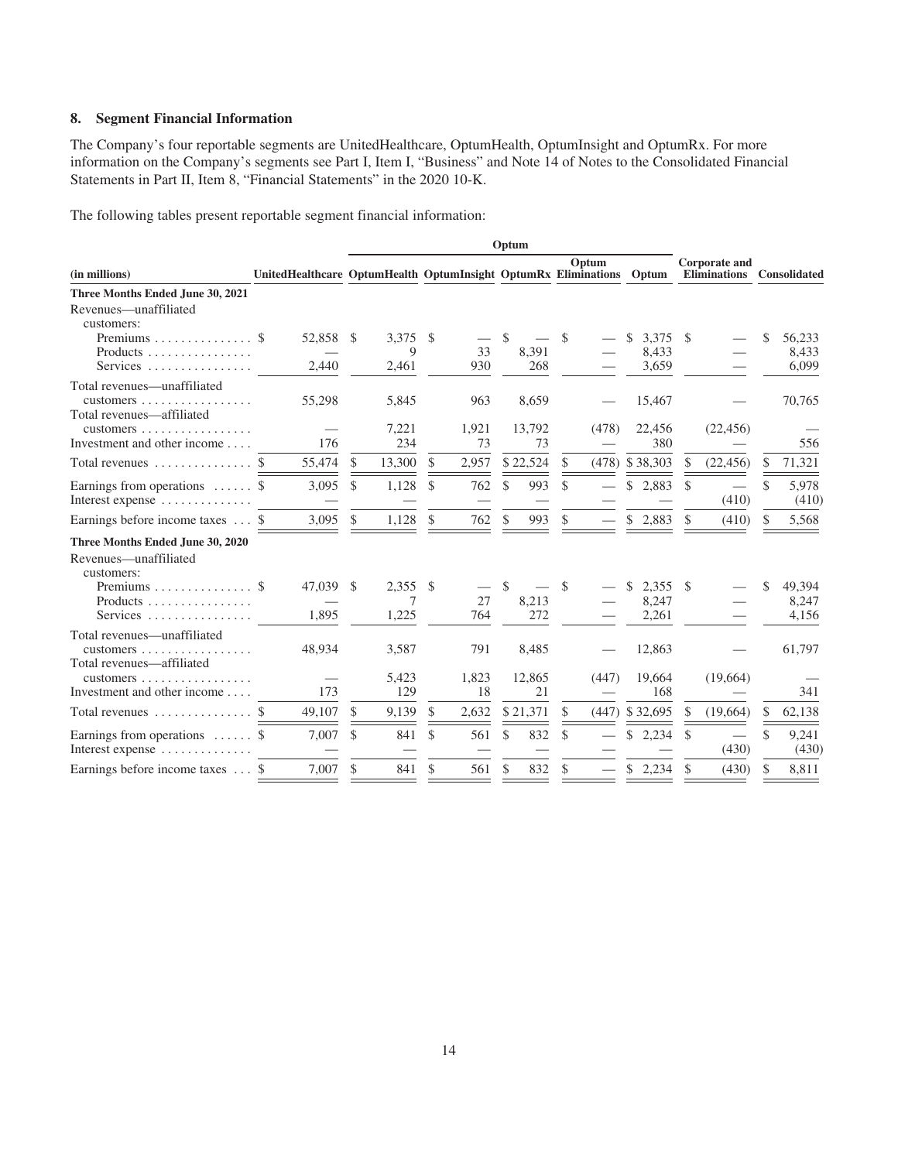#### **8. Segment Financial Information**

The Company's four reportable segments are UnitedHealthcare, OptumHealth, OptumInsight and OptumRx. For more information on the Company's segments see Part I, Item I, "Business" and Note 14 of Notes to the Consolidated Financial Statements in Part II, Item 8, "Financial Statements" in the 2020 10-K.

The following tables present reportable segment financial information:

|                                                                                                                                                                                             |                                                                |                                | Optum                |                       |               |                                |                                            |                                |
|---------------------------------------------------------------------------------------------------------------------------------------------------------------------------------------------|----------------------------------------------------------------|--------------------------------|----------------------|-----------------------|---------------|--------------------------------|--------------------------------------------|--------------------------------|
| (in millions)                                                                                                                                                                               | UnitedHealthcare OptumHealth OptumInsight OptumRx Eliminations |                                |                      |                       | Optum         | Optum                          | Corporate and<br>Eliminations Consolidated |                                |
| Three Months Ended June 30, 2021                                                                                                                                                            |                                                                |                                |                      |                       |               |                                |                                            |                                |
| Revenues—unaffiliated<br>customers:<br>Products<br>Services                                                                                                                                 | 52.858<br>2.440                                                | $3.375$ \$<br>-S<br>9<br>2,461 | 33<br>930            | \$.<br>8,391<br>268   | <sup>\$</sup> | \$<br>3,375<br>8,433<br>3,659  | S                                          | \$<br>56.233<br>8,433<br>6.099 |
| Total revenues-unaffiliated<br>customers $\dots\dots\dots\dots\dots\dots\dots$<br>Total revenues-affiliated<br>customers $\ldots \ldots \ldots \ldots \ldots$                               | 55,298                                                         | 5,845<br>7,221                 | 963<br>1,921         | 8,659<br>13,792       | (478)         | 15,467<br>22,456               | (22, 456)                                  | 70,765                         |
| Investment and other income                                                                                                                                                                 | 176                                                            | 234                            | 73                   | 73                    |               | 380                            |                                            | 556                            |
| Total revenues $\dots\dots\dots\dots\dots$                                                                                                                                                  | <sup>\$</sup><br>55,474                                        | 13,300<br>\$                   | \$<br>2,957          | \$22,524              | \$            | $(478)$ \$ 38,303              | (22, 456)<br>S                             | 71,321<br>\$                   |
| Earnings from operations $\dots \dots$ \$<br>Interest expense $\dots\dots\dots\dots\dots$                                                                                                   | 3,095                                                          | 1,128<br>\$                    | \$<br>762            | 993<br>\$             | \$            | \$2,883                        | \$<br>$\overline{\phantom{0}}$<br>(410)    | \$<br>5,978<br>(410)           |
| Earnings before income taxes  \$                                                                                                                                                            | 3,095                                                          | \$<br>1,128                    | <sup>\$</sup><br>762 | <sup>\$</sup><br>993  | \$.           | \$2,883                        | \$.<br>(410)                               | 5,568<br>\$                    |
| Three Months Ended June 30, 2020<br>Revenues-unaffiliated<br>customers:<br>Products<br>Services                                                                                             | 47,039<br>1,895                                                | 2,355<br>\$.<br>7<br>1,225     | -S<br>27<br>764      | \$.<br>8,213<br>272   | <b>S</b>      | \$.<br>2,355<br>8,247<br>2,261 | -S                                         | 49.394<br>\$<br>8,247<br>4,156 |
| Total revenues—unaffiliated<br>customers $\ldots \ldots \ldots \ldots \ldots$<br>Total revenues-affiliated<br>customers $\ldots \ldots \ldots \ldots \ldots$<br>Investment and other income | 48,934<br>173                                                  | 3,587<br>5,423<br>129          | 791<br>1,823<br>18   | 8.485<br>12,865<br>21 | (447)         | 12,863<br>19,664<br>168        | (19,664)                                   | 61,797<br>341                  |
| Total revenues $\dots\dots\dots\dots\dots$                                                                                                                                                  | 49,107<br><sup>\$</sup>                                        | 9,139<br>\$.                   | \$<br>2,632          | \$21,371              | \$.           | $(447)$ \$ 32,695              | (19,664)<br>\$.                            | 62,138<br>S                    |
| Earnings from operations  \$<br>Interest expense $\dots\dots\dots\dots\dots$                                                                                                                | 7.007                                                          | \$<br>841                      | \$.<br>561           | 832<br>\$.            | \$            | \$2,234                        | \$.<br>(430)                               | \$<br>9,241<br>(430)           |
| Earnings before income taxes  \$                                                                                                                                                            | 7,007                                                          | \$<br>841                      | \$<br>561            | 832<br>S              | \$            | \$2,234                        | \$<br>(430)                                | 8,811<br>\$.                   |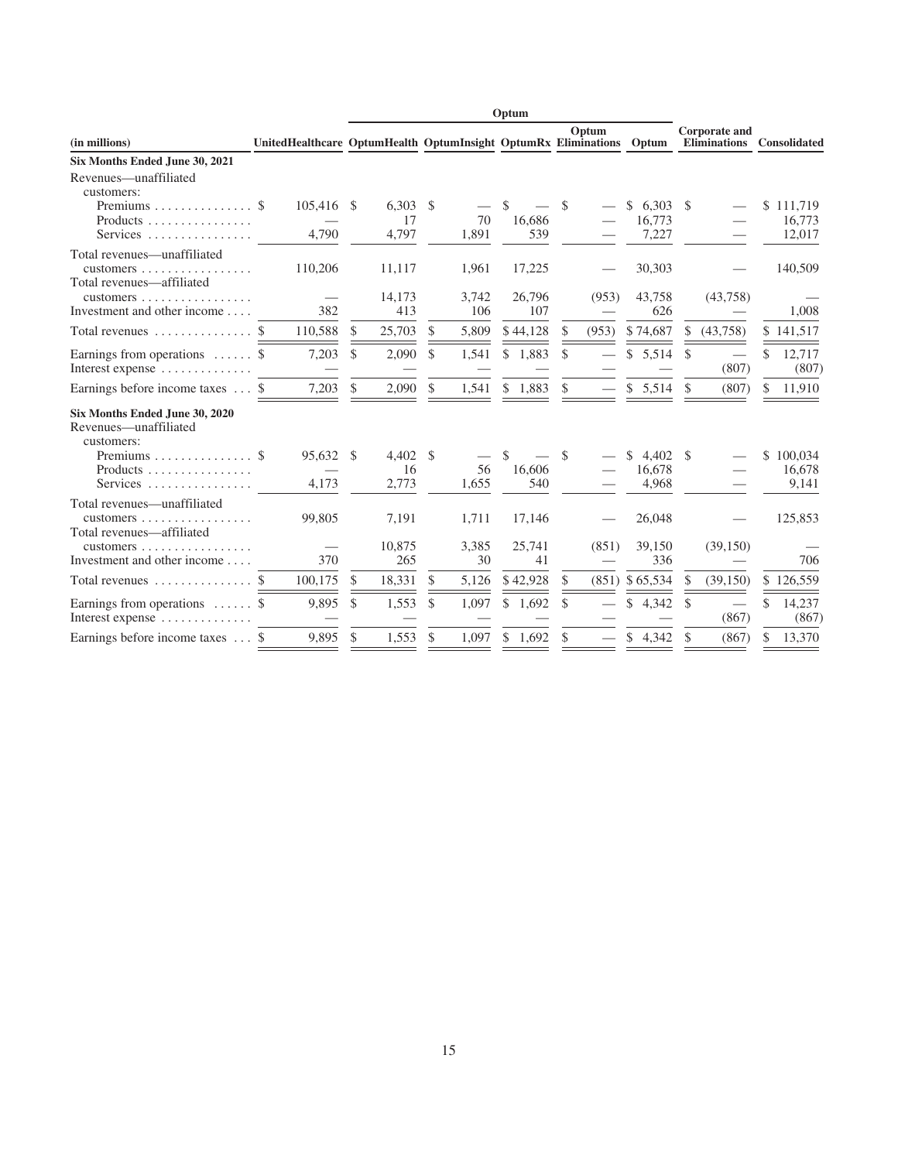|                                                                                                               |                                                                      |    |                           |               |              | Optum               |          |       |                                |               |                                             |                                   |
|---------------------------------------------------------------------------------------------------------------|----------------------------------------------------------------------|----|---------------------------|---------------|--------------|---------------------|----------|-------|--------------------------------|---------------|---------------------------------------------|-----------------------------------|
| (in millions)                                                                                                 | UnitedHealthcare OptumHealth OptumInsight OptumRx Eliminations Optum |    |                           |               |              |                     |          | Optum |                                |               | <b>Corporate and</b><br><b>Eliminations</b> | Consolidated                      |
| Six Months Ended June 30, 2021                                                                                |                                                                      |    |                           |               |              |                     |          |       |                                |               |                                             |                                   |
| Revenues—unaffiliated<br>customers:<br>Products<br>Services                                                   | 105,416<br>4,790                                                     | -S | 6,303<br>17<br>4,797      | - \$          | 70<br>1,891  | \$<br>16,686<br>539 | S        |       | \$<br>6,303<br>16,773<br>7,227 | S             |                                             | \$<br>111,719<br>16,773<br>12,017 |
| Total revenues—unaffiliated<br>$\alpha$ customers<br>Total revenues-affiliated                                | 110,206                                                              |    | 11,117                    |               | 1,961        | 17,225              |          |       | 30,303                         |               |                                             | 140,509                           |
| customers $\dots\dots\dots$<br>Investment and other income                                                    | 382                                                                  |    | 14,173<br>413             |               | 3,742<br>106 | 26,796<br>107       |          | (953) | 43,758<br>626                  |               | (43,758)                                    | 1,008                             |
| Total revenues                                                                                                | 110,588<br>\$.                                                       | \$ | 25,703                    | S             | 5,809        | \$44,128            | \$       | (953) | \$74,687                       | S.            | (43,758)                                    | \$141,517                         |
| Earnings from operations $\dots \dots$ \$<br>Interest expense $\dots\dots\dots\dots\dots$                     | 7,203                                                                | \$ | 2,090                     | <sup>\$</sup> | 1,541        | \$<br>1,883         | \$       |       | \$<br>5,514                    | <sup>\$</sup> | (807)                                       | \$<br>12,717<br>(807)             |
| Earnings before income taxes  \$                                                                              | 7,203                                                                | \$ | 2,090                     | \$.           | 1,541        | 1,883<br>\$.        | \$       |       | \$5,514                        | \$.           | (807)                                       | \$<br>11,910                      |
| Six Months Ended June 30, 2020<br>Revenues—unaffiliated<br>customers:<br>Premiums $\$<br>Products<br>Services | 95.632<br>4.173                                                      | S  | $4,402$ \$<br>16<br>2,773 |               | 56<br>1,655  | \$<br>16,606<br>540 | <b>S</b> |       | 4,402<br>S<br>16,678<br>4,968  | S             |                                             | \$<br>100,034<br>16,678<br>9,141  |
| Total revenues-unaffiliated<br>customers $\ldots$<br>Total revenues-affiliated                                | 99,805                                                               |    | 7,191                     |               | 1,711        | 17,146              |          |       | 26,048                         |               |                                             | 125,853                           |
| customers $\dots$<br>.<br>Investment and other income                                                         | 370                                                                  |    | 10,875<br>265             |               | 3,385<br>30  | 25,741<br>41        |          | (851) | 39,150<br>336                  |               | (39, 150)                                   | 706                               |
| Total revenues                                                                                                | 100,175<br>S.                                                        | \$ | 18,331                    | \$            | 5,126        | \$42,928            | \$.      |       | $(851)$ \$65,534               | S.            | (39, 150)                                   | \$126,559                         |
| Earnings from operations $\dots \dots$ \$<br>Interest expense                                                 | 9,895                                                                | \$ | 1,553                     | $\mathcal{S}$ | 1,097        | \$<br>1,692         | \$       |       | \$<br>4,342                    | <sup>\$</sup> | (867)                                       | \$<br>14,237<br>(867)             |
| Earnings before income taxes  \$                                                                              | 9,895                                                                | \$ | 1,553                     | \$            | 1,097        | \$1,692             | \$       |       | \$<br>4,342                    | \$            | (867)                                       | \$<br>13,370                      |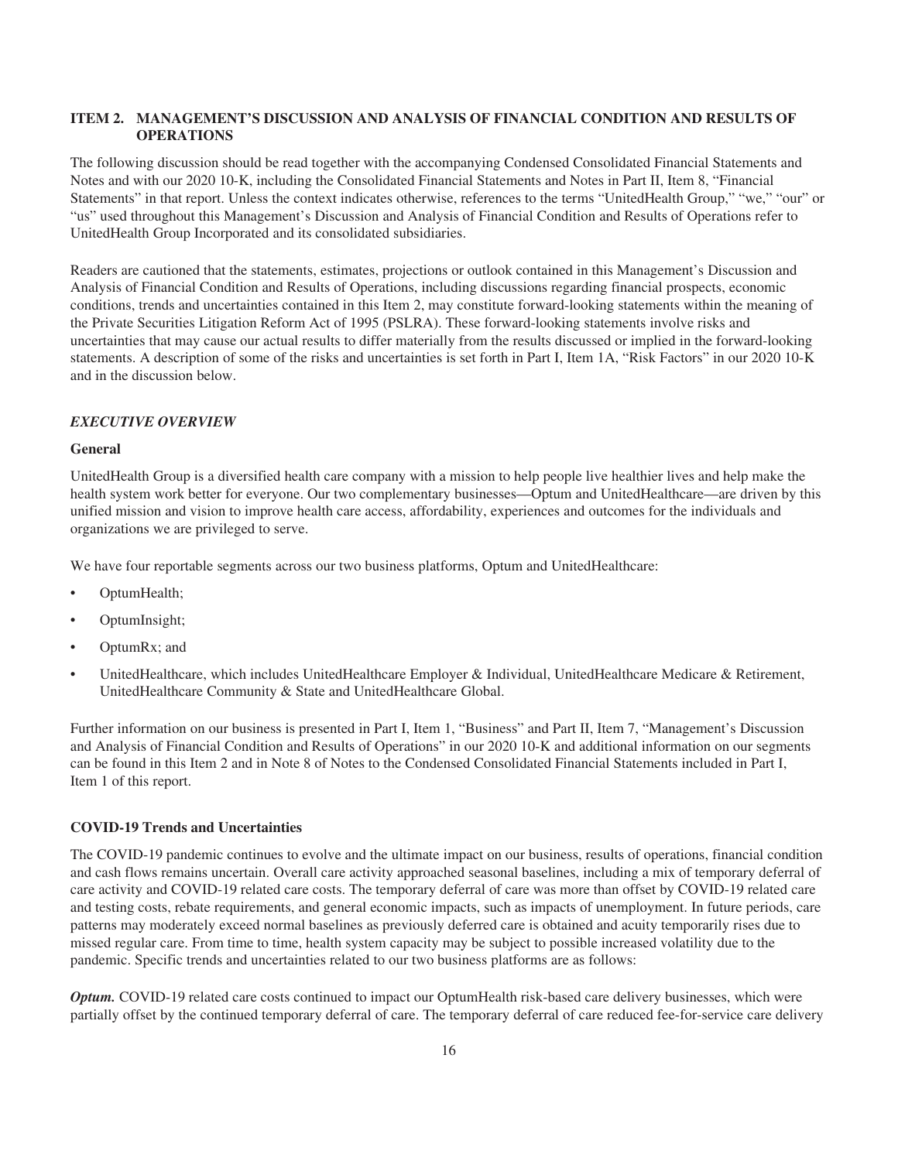#### **ITEM 2. MANAGEMENT'S DISCUSSION AND ANALYSIS OF FINANCIAL CONDITION AND RESULTS OF OPERATIONS**

The following discussion should be read together with the accompanying Condensed Consolidated Financial Statements and Notes and with our 2020 10-K, including the Consolidated Financial Statements and Notes in Part II, Item 8, "Financial Statements" in that report. Unless the context indicates otherwise, references to the terms "UnitedHealth Group," "we," "our" or "us" used throughout this Management's Discussion and Analysis of Financial Condition and Results of Operations refer to UnitedHealth Group Incorporated and its consolidated subsidiaries.

Readers are cautioned that the statements, estimates, projections or outlook contained in this Management's Discussion and Analysis of Financial Condition and Results of Operations, including discussions regarding financial prospects, economic conditions, trends and uncertainties contained in this Item 2, may constitute forward-looking statements within the meaning of the Private Securities Litigation Reform Act of 1995 (PSLRA). These forward-looking statements involve risks and uncertainties that may cause our actual results to differ materially from the results discussed or implied in the forward-looking statements. A description of some of the risks and uncertainties is set forth in Part I, Item 1A, "Risk Factors" in our 2020 10-K and in the discussion below.

#### *EXECUTIVE OVERVIEW*

#### **General**

UnitedHealth Group is a diversified health care company with a mission to help people live healthier lives and help make the health system work better for everyone. Our two complementary businesses—Optum and UnitedHealthcare—are driven by this unified mission and vision to improve health care access, affordability, experiences and outcomes for the individuals and organizations we are privileged to serve.

We have four reportable segments across our two business platforms, Optum and UnitedHealthcare:

- OptumHealth;
- OptumInsight;
- OptumRx; and
- UnitedHealthcare, which includes UnitedHealthcare Employer & Individual, UnitedHealthcare Medicare & Retirement, UnitedHealthcare Community & State and UnitedHealthcare Global.

Further information on our business is presented in Part I, Item 1, "Business" and Part II, Item 7, "Management's Discussion and Analysis of Financial Condition and Results of Operations" in our 2020 10-K and additional information on our segments can be found in this Item 2 and in Note 8 of Notes to the Condensed Consolidated Financial Statements included in Part I, Item 1 of this report.

#### **COVID-19 Trends and Uncertainties**

The COVID-19 pandemic continues to evolve and the ultimate impact on our business, results of operations, financial condition and cash flows remains uncertain. Overall care activity approached seasonal baselines, including a mix of temporary deferral of care activity and COVID-19 related care costs. The temporary deferral of care was more than offset by COVID-19 related care and testing costs, rebate requirements, and general economic impacts, such as impacts of unemployment. In future periods, care patterns may moderately exceed normal baselines as previously deferred care is obtained and acuity temporarily rises due to missed regular care. From time to time, health system capacity may be subject to possible increased volatility due to the pandemic. Specific trends and uncertainties related to our two business platforms are as follows:

*Optum.* COVID-19 related care costs continued to impact our OptumHealth risk-based care delivery businesses, which were partially offset by the continued temporary deferral of care. The temporary deferral of care reduced fee-for-service care delivery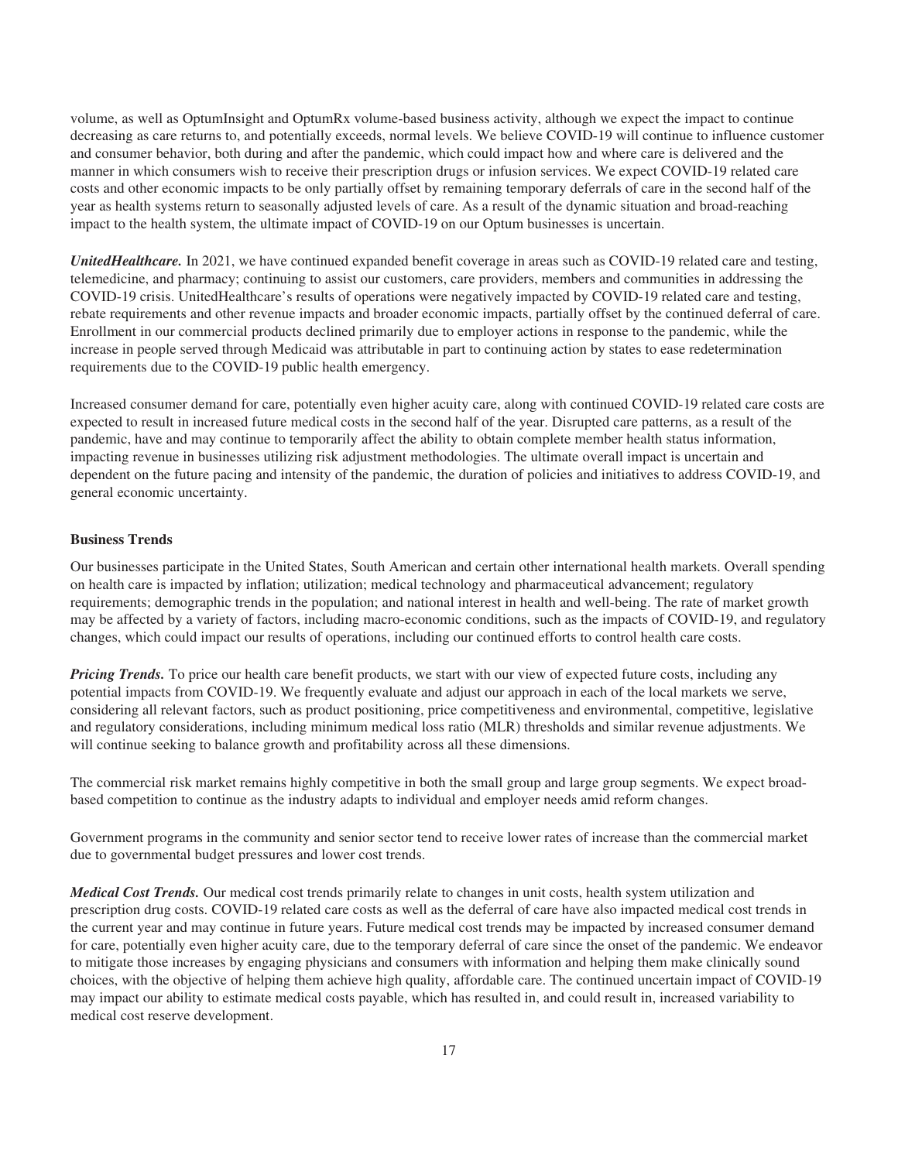volume, as well as OptumInsight and OptumRx volume-based business activity, although we expect the impact to continue decreasing as care returns to, and potentially exceeds, normal levels. We believe COVID-19 will continue to influence customer and consumer behavior, both during and after the pandemic, which could impact how and where care is delivered and the manner in which consumers wish to receive their prescription drugs or infusion services. We expect COVID-19 related care costs and other economic impacts to be only partially offset by remaining temporary deferrals of care in the second half of the year as health systems return to seasonally adjusted levels of care. As a result of the dynamic situation and broad-reaching impact to the health system, the ultimate impact of COVID-19 on our Optum businesses is uncertain.

*UnitedHealthcare.* In 2021, we have continued expanded benefit coverage in areas such as COVID-19 related care and testing, telemedicine, and pharmacy; continuing to assist our customers, care providers, members and communities in addressing the COVID-19 crisis. UnitedHealthcare's results of operations were negatively impacted by COVID-19 related care and testing, rebate requirements and other revenue impacts and broader economic impacts, partially offset by the continued deferral of care. Enrollment in our commercial products declined primarily due to employer actions in response to the pandemic, while the increase in people served through Medicaid was attributable in part to continuing action by states to ease redetermination requirements due to the COVID-19 public health emergency.

Increased consumer demand for care, potentially even higher acuity care, along with continued COVID-19 related care costs are expected to result in increased future medical costs in the second half of the year. Disrupted care patterns, as a result of the pandemic, have and may continue to temporarily affect the ability to obtain complete member health status information, impacting revenue in businesses utilizing risk adjustment methodologies. The ultimate overall impact is uncertain and dependent on the future pacing and intensity of the pandemic, the duration of policies and initiatives to address COVID-19, and general economic uncertainty.

#### **Business Trends**

Our businesses participate in the United States, South American and certain other international health markets. Overall spending on health care is impacted by inflation; utilization; medical technology and pharmaceutical advancement; regulatory requirements; demographic trends in the population; and national interest in health and well-being. The rate of market growth may be affected by a variety of factors, including macro-economic conditions, such as the impacts of COVID-19, and regulatory changes, which could impact our results of operations, including our continued efforts to control health care costs.

*Pricing Trends.* To price our health care benefit products, we start with our view of expected future costs, including any potential impacts from COVID-19. We frequently evaluate and adjust our approach in each of the local markets we serve, considering all relevant factors, such as product positioning, price competitiveness and environmental, competitive, legislative and regulatory considerations, including minimum medical loss ratio (MLR) thresholds and similar revenue adjustments. We will continue seeking to balance growth and profitability across all these dimensions.

The commercial risk market remains highly competitive in both the small group and large group segments. We expect broadbased competition to continue as the industry adapts to individual and employer needs amid reform changes.

Government programs in the community and senior sector tend to receive lower rates of increase than the commercial market due to governmental budget pressures and lower cost trends.

*Medical Cost Trends.* Our medical cost trends primarily relate to changes in unit costs, health system utilization and prescription drug costs. COVID-19 related care costs as well as the deferral of care have also impacted medical cost trends in the current year and may continue in future years. Future medical cost trends may be impacted by increased consumer demand for care, potentially even higher acuity care, due to the temporary deferral of care since the onset of the pandemic. We endeavor to mitigate those increases by engaging physicians and consumers with information and helping them make clinically sound choices, with the objective of helping them achieve high quality, affordable care. The continued uncertain impact of COVID-19 may impact our ability to estimate medical costs payable, which has resulted in, and could result in, increased variability to medical cost reserve development.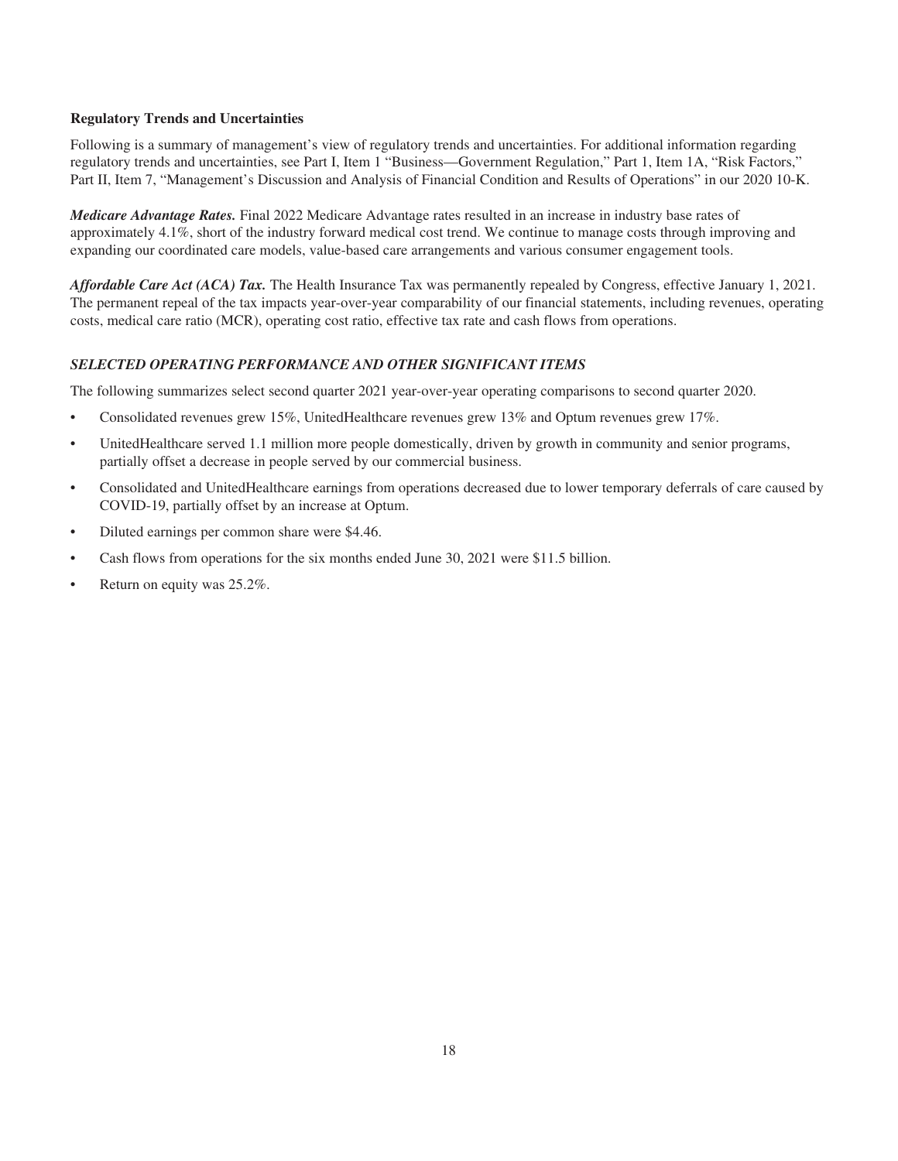#### **Regulatory Trends and Uncertainties**

Following is a summary of management's view of regulatory trends and uncertainties. For additional information regarding regulatory trends and uncertainties, see Part I, Item 1 "Business—Government Regulation," Part 1, Item 1A, "Risk Factors," Part II, Item 7, "Management's Discussion and Analysis of Financial Condition and Results of Operations" in our 2020 10-K.

*Medicare Advantage Rates.* Final 2022 Medicare Advantage rates resulted in an increase in industry base rates of approximately 4.1%, short of the industry forward medical cost trend. We continue to manage costs through improving and expanding our coordinated care models, value-based care arrangements and various consumer engagement tools.

*Affordable Care Act (ACA) Tax.* The Health Insurance Tax was permanently repealed by Congress, effective January 1, 2021. The permanent repeal of the tax impacts year-over-year comparability of our financial statements, including revenues, operating costs, medical care ratio (MCR), operating cost ratio, effective tax rate and cash flows from operations.

# *SELECTED OPERATING PERFORMANCE AND OTHER SIGNIFICANT ITEMS*

The following summarizes select second quarter 2021 year-over-year operating comparisons to second quarter 2020.

- Consolidated revenues grew 15%, UnitedHealthcare revenues grew 13% and Optum revenues grew 17%.
- UnitedHealthcare served 1.1 million more people domestically, driven by growth in community and senior programs, partially offset a decrease in people served by our commercial business.
- Consolidated and UnitedHealthcare earnings from operations decreased due to lower temporary deferrals of care caused by COVID-19, partially offset by an increase at Optum.
- Diluted earnings per common share were \$4.46.
- Cash flows from operations for the six months ended June 30, 2021 were \$11.5 billion.
- Return on equity was 25.2%.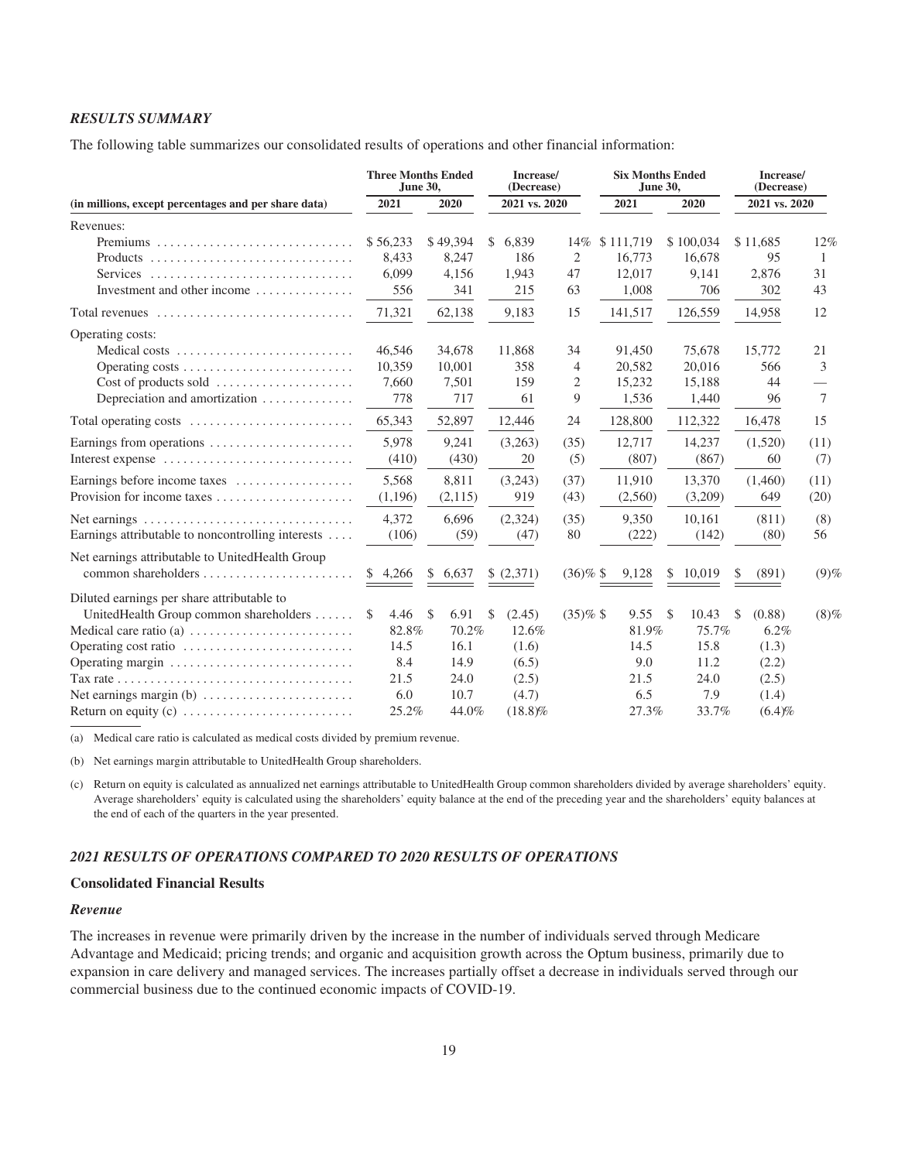#### *RESULTS SUMMARY*

The following table summarizes our consolidated results of operations and other financial information:

|                                                                                         | <b>Three Months Ended</b><br>June 30, |             | Increase/<br>(Decrease) |             | <b>Six Months Ended</b><br>June 30, |                        | Increase/<br>(Decrease) |                          |  |
|-----------------------------------------------------------------------------------------|---------------------------------------|-------------|-------------------------|-------------|-------------------------------------|------------------------|-------------------------|--------------------------|--|
| (in millions, except percentages and per share data)                                    | 2021                                  | 2020        | 2021 vs. 2020           |             | 2021                                | 2020                   | 2021 vs. 2020           |                          |  |
| Revenues:                                                                               |                                       |             |                         |             |                                     |                        |                         |                          |  |
|                                                                                         | \$56,233                              | \$49,394    | \$<br>6.839             | 14%         | \$111,719                           | \$100,034              | \$11,685                | 12%                      |  |
|                                                                                         | 8,433                                 | 8,247       | 186                     | 2           | 16,773                              | 16,678                 | 95                      | 1                        |  |
| Services                                                                                | 6.099                                 | 4,156       | 1,943                   | 47          | 12,017                              | 9,141                  | 2,876                   | 31                       |  |
| Investment and other income                                                             | 556                                   | 341         | 215                     | 63          | 1,008                               | 706                    | 302                     | 43                       |  |
| Total revenues $\ldots, \ldots, \ldots, \ldots, \ldots, \ldots, \ldots, \ldots$         | 71,321                                | 62,138      | 9,183                   | 15          | 141,517                             | 126,559                | 14,958                  | 12                       |  |
| Operating costs:                                                                        |                                       |             |                         |             |                                     |                        |                         |                          |  |
| Medical costs                                                                           | 46,546                                | 34,678      | 11,868                  | 34          | 91,450                              | 75,678                 | 15,772                  | 21                       |  |
| Operating costs                                                                         | 10,359                                | 10,001      | 358                     | 4           | 20,582                              | 20,016                 | 566                     | 3                        |  |
| Cost of products sold                                                                   | 7,660                                 | 7,501       | 159                     | 2           | 15,232                              | 15,188                 | 44                      | $\overline{\phantom{0}}$ |  |
| Depreciation and amortization                                                           | 778                                   | 717         | 61                      | 9           | 1,536                               | 1,440                  | 96                      | 7                        |  |
| Total operating costs $\dots\dots\dots\dots\dots\dots\dots\dots\dots$                   | 65,343                                | 52,897      | 12,446                  | 24          | 128,800                             | 112,322                | 16,478                  | 15                       |  |
| Earnings from operations                                                                | 5,978                                 | 9,241       | (3,263)                 | (35)        | 12,717                              | 14,237                 | (1,520)                 | (11)                     |  |
| Interest expense                                                                        | (410)                                 | (430)       | 20                      | (5)         | (807)                               | (867)                  | 60                      | (7)                      |  |
| Earnings before income taxes                                                            | 5.568                                 | 8,811       | (3,243)                 | (37)        | 11.910                              | 13,370                 | (1,460)                 | (11)                     |  |
| Provision for income taxes                                                              | (1,196)                               | (2,115)     | 919                     | (43)        | (2,560)                             | (3,209)                | 649                     | (20)                     |  |
| Net earnings $\ldots \ldots \ldots \ldots \ldots \ldots \ldots \ldots \ldots$           | 4.372                                 | 6.696       | (2,324)                 | (35)        | 9,350                               | 10,161                 | (811)                   | (8)                      |  |
| Earnings attributable to noncontrolling interests                                       | (106)                                 | (59)        | (47)                    | 80          | (222)                               | (142)                  | (80)                    | 56                       |  |
| Net earnings attributable to UnitedHealth Group                                         |                                       |             |                         |             |                                     |                        |                         |                          |  |
|                                                                                         | \$4,266                               | 6,637<br>\$ | \$(2,371)               | $(36)\%$ \$ | 9,128                               | 10,019<br>\$           | (891)<br>\$             | $(9)$ %                  |  |
| Diluted earnings per share attributable to                                              |                                       |             |                         |             |                                     |                        |                         |                          |  |
| UnitedHealth Group common shareholders                                                  | 4.46<br>S                             | \$<br>6.91  | <sup>\$</sup><br>(2.45) | $(35)\%$ \$ | 9.55                                | $\mathcal{S}$<br>10.43 | (0.88)<br>\$            | (8)%                     |  |
| Medical care ratio (a) $\dots \dots \dots \dots \dots \dots \dots$                      | 82.8%                                 | 70.2%       | 12.6%                   |             | 81.9%                               | 75.7%                  | 6.2%                    |                          |  |
|                                                                                         | 14.5                                  | 16.1        | (1.6)                   |             | 14.5                                | 15.8                   | (1.3)                   |                          |  |
| Operating margin                                                                        | 8.4                                   | 14.9        | (6.5)                   |             | 9.0                                 | 11.2                   | (2.2)                   |                          |  |
| Tax rate $\ldots \ldots \ldots \ldots \ldots \ldots \ldots \ldots \ldots \ldots \ldots$ | 21.5                                  | 24.0        | (2.5)                   |             | 21.5                                | 24.0                   | (2.5)                   |                          |  |
|                                                                                         | 6.0                                   | 10.7        | (4.7)                   |             | 6.5                                 | 7.9                    | (1.4)                   |                          |  |
|                                                                                         | 25.2%                                 | 44.0%       | $(18.8)\%$              |             | 27.3%                               | 33.7%                  | (6.4)%                  |                          |  |

(a) Medical care ratio is calculated as medical costs divided by premium revenue.

(b) Net earnings margin attributable to UnitedHealth Group shareholders.

(c) Return on equity is calculated as annualized net earnings attributable to UnitedHealth Group common shareholders divided by average shareholders' equity. Average shareholders' equity is calculated using the shareholders' equity balance at the end of the preceding year and the shareholders' equity balances at the end of each of the quarters in the year presented.

#### *2021 RESULTS OF OPERATIONS COMPARED TO 2020 RESULTS OF OPERATIONS*

#### **Consolidated Financial Results**

#### *Revenue*

The increases in revenue were primarily driven by the increase in the number of individuals served through Medicare Advantage and Medicaid; pricing trends; and organic and acquisition growth across the Optum business, primarily due to expansion in care delivery and managed services. The increases partially offset a decrease in individuals served through our commercial business due to the continued economic impacts of COVID-19.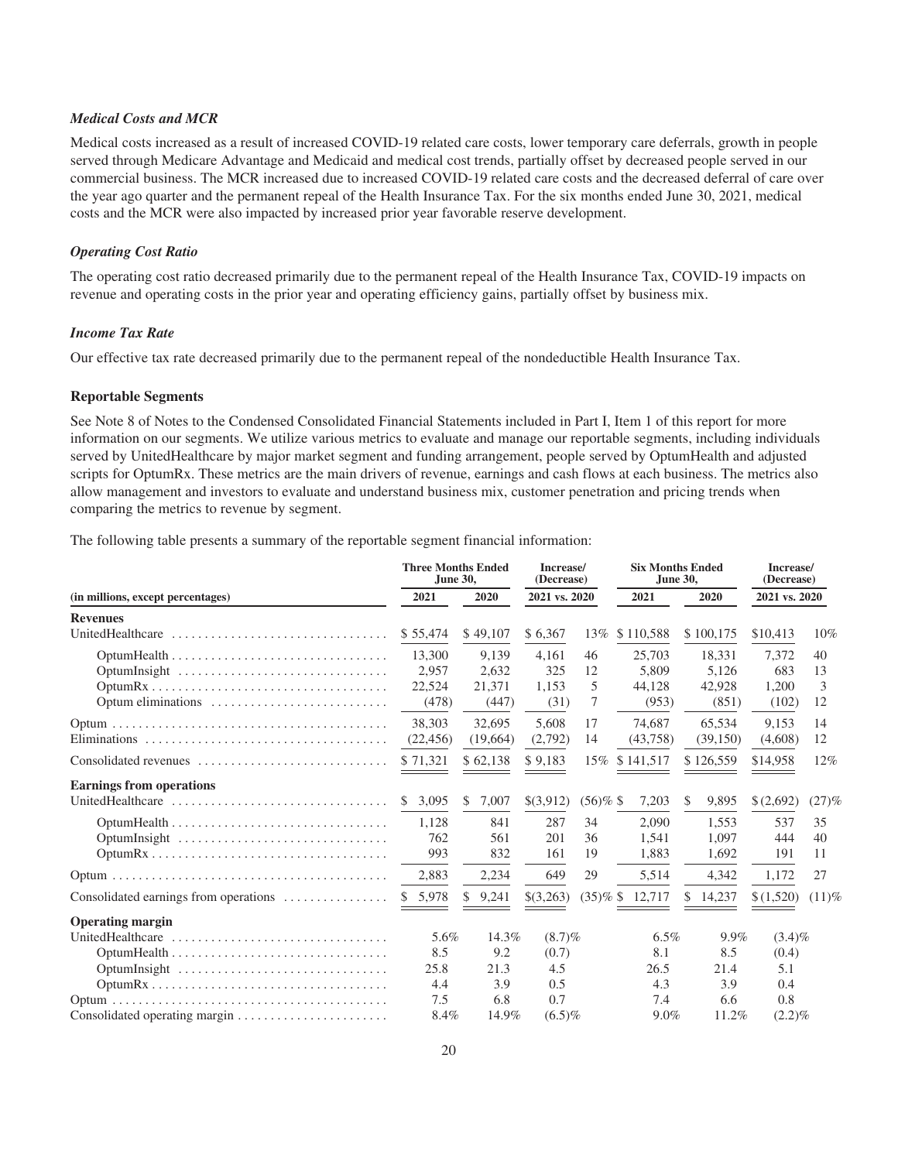#### *Medical Costs and MCR*

Medical costs increased as a result of increased COVID-19 related care costs, lower temporary care deferrals, growth in people served through Medicare Advantage and Medicaid and medical cost trends, partially offset by decreased people served in our commercial business. The MCR increased due to increased COVID-19 related care costs and the decreased deferral of care over the year ago quarter and the permanent repeal of the Health Insurance Tax. For the six months ended June 30, 2021, medical costs and the MCR were also impacted by increased prior year favorable reserve development.

#### *Operating Cost Ratio*

The operating cost ratio decreased primarily due to the permanent repeal of the Health Insurance Tax, COVID-19 impacts on revenue and operating costs in the prior year and operating efficiency gains, partially offset by business mix.

#### *Income Tax Rate*

Our effective tax rate decreased primarily due to the permanent repeal of the nondeductible Health Insurance Tax.

#### **Reportable Segments**

See Note 8 of Notes to the Condensed Consolidated Financial Statements included in Part I, Item 1 of this report for more information on our segments. We utilize various metrics to evaluate and manage our reportable segments, including individuals served by UnitedHealthcare by major market segment and funding arrangement, people served by OptumHealth and adjusted scripts for OptumRx. These metrics are the main drivers of revenue, earnings and cash flows at each business. The metrics also allow management and investors to evaluate and understand business mix, customer penetration and pricing trends when comparing the metrics to revenue by segment.

The following table presents a summary of the reportable segment financial information:

|                                                                                 | <b>Three Months Ended</b><br>June 30, |    |          | Increase/<br>(Decrease) | <b>Six Months Ended</b><br>June 30, |                    | Increase/<br>(Decrease) |           |               |          |  |
|---------------------------------------------------------------------------------|---------------------------------------|----|----------|-------------------------|-------------------------------------|--------------------|-------------------------|-----------|---------------|----------|--|
| (in millions, except percentages)                                               | 2021                                  |    | 2020     | 2021 vs. 2020           |                                     | 2021               |                         | 2020      | 2021 vs. 2020 |          |  |
| <b>Revenues</b>                                                                 |                                       |    |          |                         |                                     |                    |                         |           |               |          |  |
| UnitedHealthcare                                                                | \$55,474                              |    | \$49,107 | \$6,367                 | 13%                                 | \$110,588          |                         | \$100,175 | \$10,413      | 10%      |  |
|                                                                                 | 13,300                                |    | 9.139    | 4,161                   | 46                                  | 25,703             |                         | 18,331    | 7,372         | 40       |  |
| OptumInsight                                                                    | 2,957                                 |    | 2,632    | 325                     | 12                                  | 5.809              |                         | 5,126     | 683           | 13       |  |
|                                                                                 | 22,524                                |    | 21.371   | 1.153                   | 5                                   | 44.128             |                         | 42,928    | 1,200         | 3        |  |
|                                                                                 | (478)                                 |    | (447)    | (31)                    | 7                                   | (953)              |                         | (851)     | (102)         | 12       |  |
|                                                                                 | 38,303                                |    | 32,695   | 5,608                   | 17                                  | 74,687             |                         | 65,534    | 9,153         | 14       |  |
|                                                                                 | (22, 456)                             |    | (19,664) | (2,792)                 | 14                                  | (43,758)           |                         | (39, 150) | (4,608)       | 12       |  |
| Consolidated revenues                                                           | \$71,321                              |    | \$62,138 | \$9,183                 | $15\%$                              | \$141,517          |                         | \$126,559 | \$14,958      | 12%      |  |
| <b>Earnings from operations</b>                                                 |                                       |    |          |                         |                                     |                    |                         |           |               |          |  |
| UnitedHealthcare                                                                | 3,095<br>$\mathbb{S}$                 | S  | 7,007    | \$(3,912)               | $(56)\%$ \$                         | 7,203              | S                       | 9,895     | \$(2,692)     | (27)%    |  |
| $OptumHealth \dots \dots \dots \dots \dots \dots \dots \dots \dots \dots \dots$ | 1,128                                 |    | 841      | 287                     | 34                                  | 2.090              |                         | 1.553     | 537           | 35       |  |
| OptumInsight                                                                    | 762                                   |    | 561      | 201                     | 36                                  | 1,541              |                         | 1,097     | 444           | 40       |  |
|                                                                                 | 993                                   |    | 832      | 161                     | 19                                  | 1,883              |                         | 1,692     | 191           | 11       |  |
|                                                                                 | 2,883                                 |    | 2,234    | 649                     | 29                                  | 5,514              |                         | 4,342     | 1,172         | 27       |  |
| Consolidated earnings from operations                                           | \$5,978                               | \$ | 9,241    | \$(3,263)               |                                     | $(35)\%$ \$ 12,717 | S.                      | 14,237    | \$(1,520)     | $(11)$ % |  |
| <b>Operating margin</b>                                                         |                                       |    |          |                         |                                     |                    |                         |           |               |          |  |
|                                                                                 | 5.6%                                  |    | 14.3%    | $(8.7)\%$               |                                     | $6.5\%$            |                         | 9.9%      | $(3.4)\%$     |          |  |
|                                                                                 | 8.5                                   |    | 9.2      | (0.7)                   |                                     | 8.1                |                         | 8.5       | (0.4)         |          |  |
| OptumInsight                                                                    | 25.8                                  |    | 21.3     | 4.5                     |                                     | 26.5               |                         | 21.4      | 5.1           |          |  |
|                                                                                 | 4.4                                   |    | 3.9      | 0.5                     |                                     | 4.3                |                         |           | 0.4           |          |  |
|                                                                                 | 7.5                                   |    | 6.8      | 0.7                     |                                     | 7.4                |                         |           | 0.8<br>6.6    |          |  |
| Consolidated operating margin                                                   | 8.4%                                  |    | 14.9%    | $(6.5)\%$               |                                     | 9.0%               |                         | 11.2%     | $(2.2)\%$     |          |  |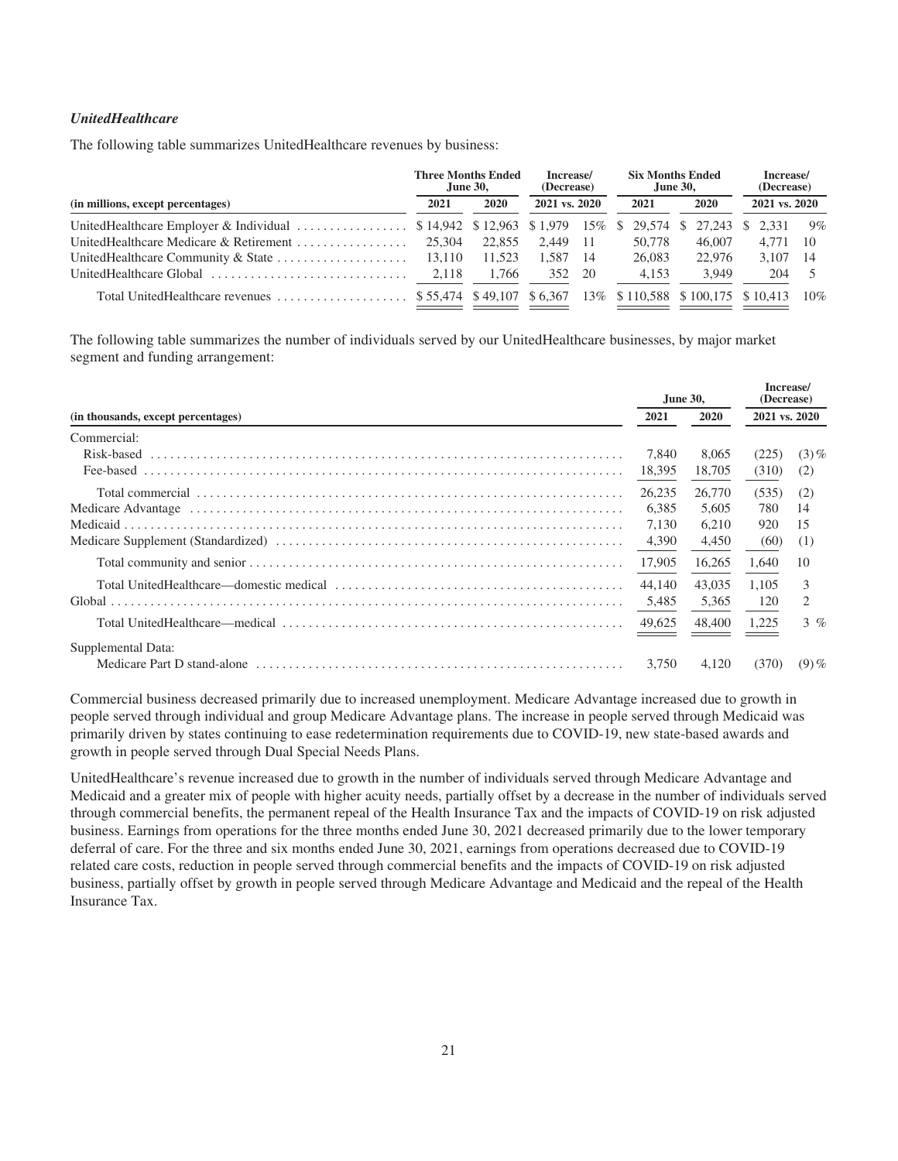#### *UnitedHealthcare*

The following table summarizes UnitedHealthcare revenues by business:

|                                                                                            |       | <b>Three Months Ended</b><br><b>June 30.</b> | Increase/<br>(Decrease) |      | <b>Six Months Ended</b><br><b>June 30.</b> |  |        |               | Increase/<br>(Decrease) |      |  |
|--------------------------------------------------------------------------------------------|-------|----------------------------------------------|-------------------------|------|--------------------------------------------|--|--------|---------------|-------------------------|------|--|
| (in millions, except percentages)                                                          | 2021  | 2020                                         | 2021 vs. 2020           |      | 2020<br>2021                               |  |        | 2021 vs. 2020 |                         |      |  |
|                                                                                            |       |                                              |                         |      |                                            |  |        |               |                         | 9%   |  |
|                                                                                            |       | 22,855                                       | 2.449                   | - 11 | 50,778                                     |  | 46,007 |               | 4.771                   | - 10 |  |
|                                                                                            |       | 11.523                                       | 1.587                   | -14  | 26,083                                     |  | 22,976 |               | 3.107                   | - 14 |  |
| UnitedHealthcare Global                                                                    | 2.118 | 1.766                                        | 352                     | 20   | 4.153                                      |  | 3.949  |               | 204                     |      |  |
| Total UnitedHealthcare revenues  \$55.474 \$49.107 \$6.367 13% \$10.588 \$100.175 \$10.413 |       |                                              |                         |      |                                            |  |        |               |                         | 10%  |  |

The following table summarizes the number of individuals served by our UnitedHealthcare businesses, by major market segment and funding arrangement:

|                                    | <b>June 30,</b> |             | Increase/<br>(Decrease) |                |
|------------------------------------|-----------------|-------------|-------------------------|----------------|
| (in thousands, except percentages) | 2021            | <b>2020</b> | 2021 vs. 2020           |                |
| Commercial:                        |                 |             |                         |                |
|                                    | 7.840           | 8.065       | (225)                   | $(3)$ %        |
|                                    | 18,395          | 18,705      | (310)                   | (2)            |
|                                    | 26,235          | 26,770      | (535)                   | (2)            |
|                                    | 6.385           | 5.605       | 780                     | 14             |
|                                    | 7.130           | 6.210       | 920                     | 15             |
|                                    |                 | 4,450       | (60)                    | (1)            |
|                                    | 17,905          | 16,265      | 1,640                   | 10             |
|                                    | 44,140          | 43,035      | 1.105                   | 3              |
|                                    | 5,485           | 5,365       | 120                     | $\mathfrak{D}$ |
|                                    |                 | 48,400      | 1,225                   | $3 \%$         |
| Supplemental Data:                 |                 |             |                         |                |
|                                    | 3.750           | 4.120       | (370)                   | $(9)$ %        |

Commercial business decreased primarily due to increased unemployment. Medicare Advantage increased due to growth in people served through individual and group Medicare Advantage plans. The increase in people served through Medicaid was primarily driven by states continuing to ease redetermination requirements due to COVID-19, new state-based awards and growth in people served through Dual Special Needs Plans.

UnitedHealthcare's revenue increased due to growth in the number of individuals served through Medicare Advantage and Medicaid and a greater mix of people with higher acuity needs, partially offset by a decrease in the number of individuals served through commercial benefits, the permanent repeal of the Health Insurance Tax and the impacts of COVID-19 on risk adjusted business. Earnings from operations for the three months ended June 30, 2021 decreased primarily due to the lower temporary deferral of care. For the three and six months ended June 30, 2021, earnings from operations decreased due to COVID-19 related care costs, reduction in people served through commercial benefits and the impacts of COVID-19 on risk adjusted business, partially offset by growth in people served through Medicare Advantage and Medicaid and the repeal of the Health Insurance Tax.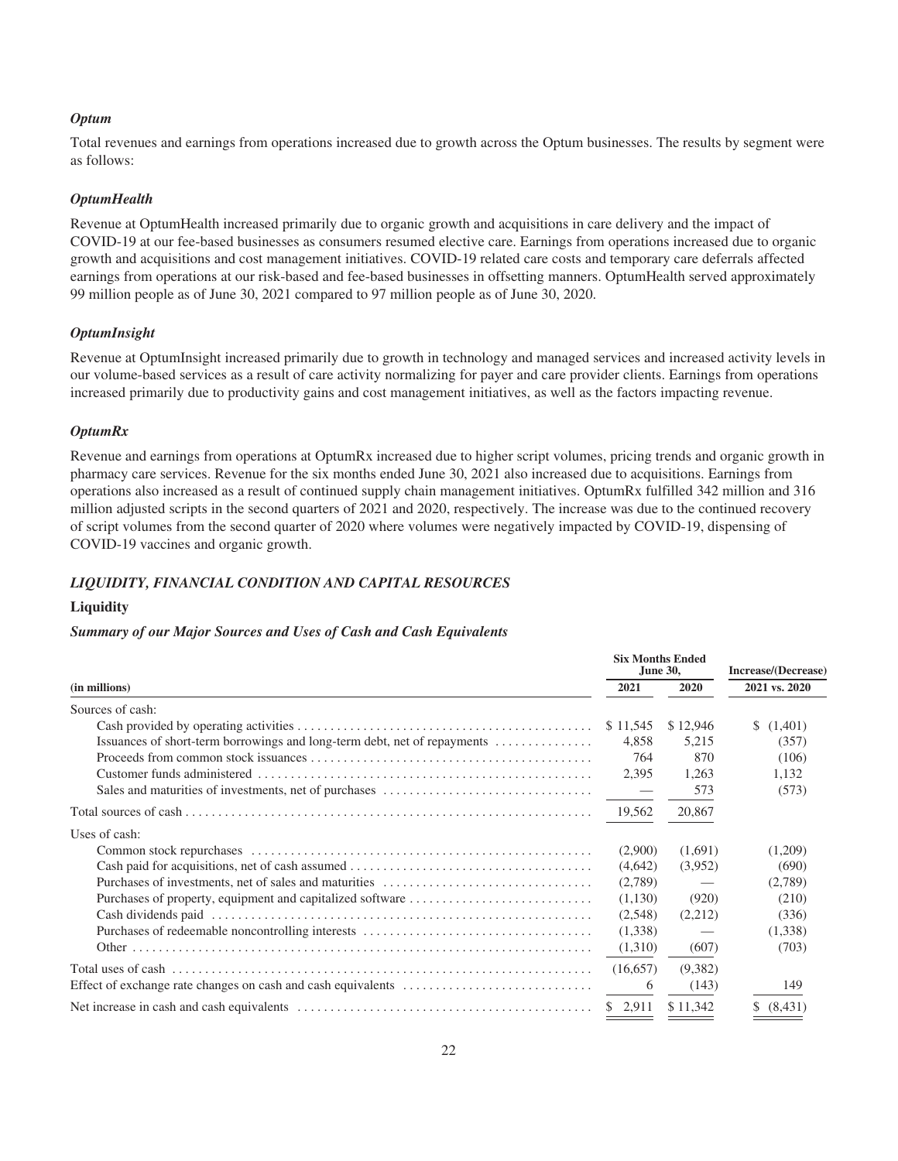#### *Optum*

Total revenues and earnings from operations increased due to growth across the Optum businesses. The results by segment were as follows:

#### *OptumHealth*

Revenue at OptumHealth increased primarily due to organic growth and acquisitions in care delivery and the impact of COVID-19 at our fee-based businesses as consumers resumed elective care. Earnings from operations increased due to organic growth and acquisitions and cost management initiatives. COVID-19 related care costs and temporary care deferrals affected earnings from operations at our risk-based and fee-based businesses in offsetting manners. OptumHealth served approximately 99 million people as of June 30, 2021 compared to 97 million people as of June 30, 2020.

#### *OptumInsight*

Revenue at OptumInsight increased primarily due to growth in technology and managed services and increased activity levels in our volume-based services as a result of care activity normalizing for payer and care provider clients. Earnings from operations increased primarily due to productivity gains and cost management initiatives, as well as the factors impacting revenue.

#### *OptumRx*

Revenue and earnings from operations at OptumRx increased due to higher script volumes, pricing trends and organic growth in pharmacy care services. Revenue for the six months ended June 30, 2021 also increased due to acquisitions. Earnings from operations also increased as a result of continued supply chain management initiatives. OptumRx fulfilled 342 million and 316 million adjusted scripts in the second quarters of 2021 and 2020, respectively. The increase was due to the continued recovery of script volumes from the second quarter of 2020 where volumes were negatively impacted by COVID-19, dispensing of COVID-19 vaccines and organic growth.

#### *LIQUIDITY, FINANCIAL CONDITION AND CAPITAL RESOURCES*

#### **Liquidity**

#### *Summary of our Major Sources and Uses of Cash and Cash Equivalents*

|                                                                          | <b>Six Months Ended</b> | June 30, | Increase/(Decrease) |  |  |
|--------------------------------------------------------------------------|-------------------------|----------|---------------------|--|--|
| (in millions)                                                            | 2021                    | 2020     | 2021 vs. 2020       |  |  |
| Sources of cash:                                                         |                         |          |                     |  |  |
|                                                                          | \$11,545                | \$12,946 | (1,401)<br>S.       |  |  |
| Issuances of short-term borrowings and long-term debt, net of repayments | 4,858                   | 5,215    | (357)               |  |  |
|                                                                          | 764                     | 870      | (106)               |  |  |
|                                                                          | 2,395                   | 1,263    | 1,132               |  |  |
|                                                                          |                         | 573      | (573)               |  |  |
|                                                                          | 19,562                  | 20,867   |                     |  |  |
| Uses of cash:                                                            |                         |          |                     |  |  |
|                                                                          | (2,900)                 | (1,691)  | (1,209)             |  |  |
|                                                                          | (4,642)                 | (3,952)  | (690)               |  |  |
|                                                                          | (2,789)                 |          | (2,789)             |  |  |
|                                                                          | (1,130)                 | (920)    | (210)               |  |  |
|                                                                          | (2,548)                 | (2,212)  | (336)               |  |  |
|                                                                          | (1,338)                 |          | (1,338)             |  |  |
|                                                                          | (1,310)                 | (607)    | (703)               |  |  |
|                                                                          | (16,657)                | (9,382)  |                     |  |  |
|                                                                          | 6                       | (143)    | 149                 |  |  |
|                                                                          | \$2,911                 | \$11.342 | \$ (8,431)          |  |  |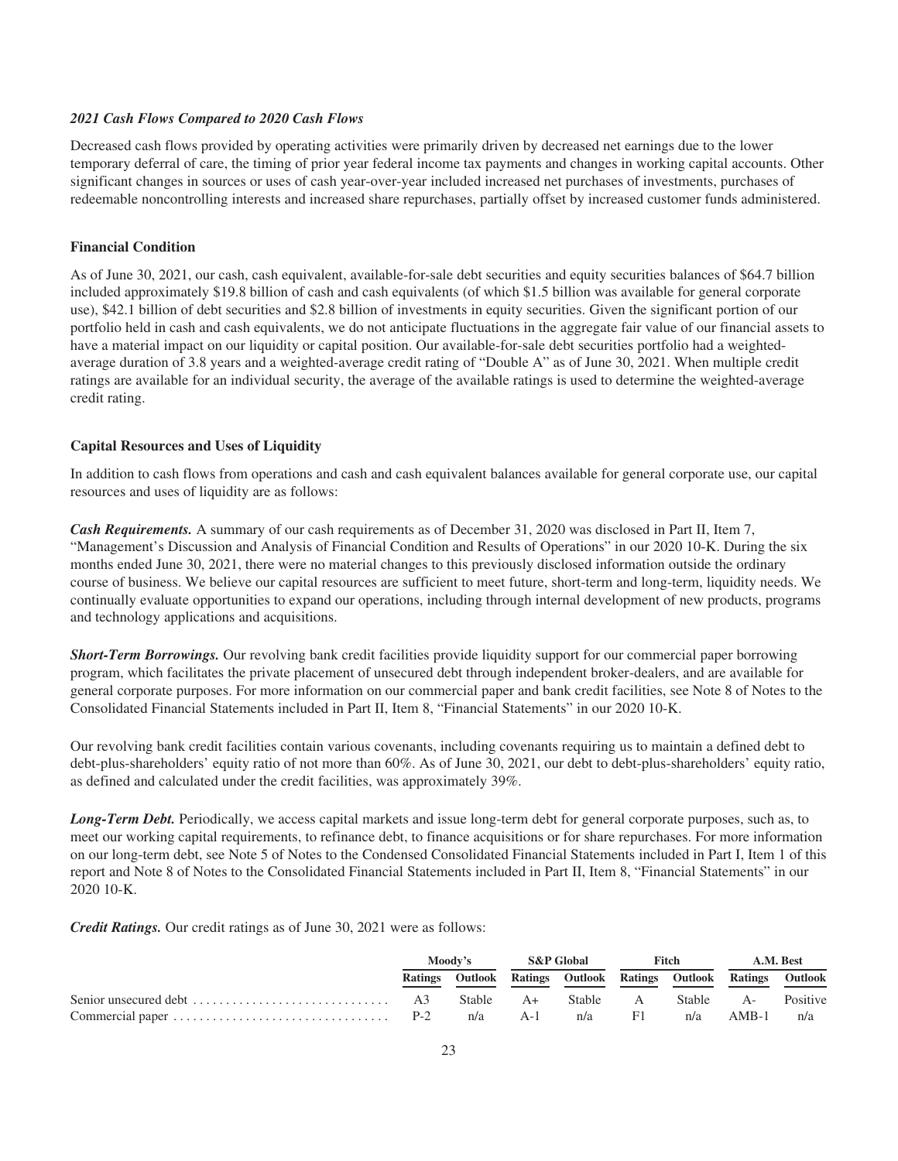#### *2021 Cash Flows Compared to 2020 Cash Flows*

Decreased cash flows provided by operating activities were primarily driven by decreased net earnings due to the lower temporary deferral of care, the timing of prior year federal income tax payments and changes in working capital accounts. Other significant changes in sources or uses of cash year-over-year included increased net purchases of investments, purchases of redeemable noncontrolling interests and increased share repurchases, partially offset by increased customer funds administered.

#### **Financial Condition**

As of June 30, 2021, our cash, cash equivalent, available-for-sale debt securities and equity securities balances of \$64.7 billion included approximately \$19.8 billion of cash and cash equivalents (of which \$1.5 billion was available for general corporate use), \$42.1 billion of debt securities and \$2.8 billion of investments in equity securities. Given the significant portion of our portfolio held in cash and cash equivalents, we do not anticipate fluctuations in the aggregate fair value of our financial assets to have a material impact on our liquidity or capital position. Our available-for-sale debt securities portfolio had a weightedaverage duration of 3.8 years and a weighted-average credit rating of "Double A" as of June 30, 2021. When multiple credit ratings are available for an individual security, the average of the available ratings is used to determine the weighted-average credit rating.

#### **Capital Resources and Uses of Liquidity**

In addition to cash flows from operations and cash and cash equivalent balances available for general corporate use, our capital resources and uses of liquidity are as follows:

*Cash Requirements.* A summary of our cash requirements as of December 31, 2020 was disclosed in Part II, Item 7, "Management's Discussion and Analysis of Financial Condition and Results of Operations" in our 2020 10-K. During the six months ended June 30, 2021, there were no material changes to this previously disclosed information outside the ordinary course of business. We believe our capital resources are sufficient to meet future, short-term and long-term, liquidity needs. We continually evaluate opportunities to expand our operations, including through internal development of new products, programs and technology applications and acquisitions.

*Short-Term Borrowings.* Our revolving bank credit facilities provide liquidity support for our commercial paper borrowing program, which facilitates the private placement of unsecured debt through independent broker-dealers, and are available for general corporate purposes. For more information on our commercial paper and bank credit facilities, see Note 8 of Notes to the Consolidated Financial Statements included in Part II, Item 8, "Financial Statements" in our 2020 10-K.

Our revolving bank credit facilities contain various covenants, including covenants requiring us to maintain a defined debt to debt-plus-shareholders' equity ratio of not more than 60%. As of June 30, 2021, our debt to debt-plus-shareholders' equity ratio, as defined and calculated under the credit facilities, was approximately 39%.

*Long-Term Debt.* Periodically, we access capital markets and issue long-term debt for general corporate purposes, such as, to meet our working capital requirements, to refinance debt, to finance acquisitions or for share repurchases. For more information on our long-term debt, see Note 5 of Notes to the Condensed Consolidated Financial Statements included in Part I, Item 1 of this report and Note 8 of Notes to the Consolidated Financial Statements included in Part II, Item 8, "Financial Statements" in our 2020 10-K.

*Credit Ratings.* Our credit ratings as of June 30, 2021 were as follows:

|  | Moody's | S&P Global |  | Fitch |  | A.M. Best                                                       |  |
|--|---------|------------|--|-------|--|-----------------------------------------------------------------|--|
|  |         |            |  |       |  | Ratings Outlook Ratings Outlook Ratings Outlook Ratings Outlook |  |
|  |         |            |  |       |  |                                                                 |  |
|  |         |            |  |       |  | n/a AMB-1 n/a                                                   |  |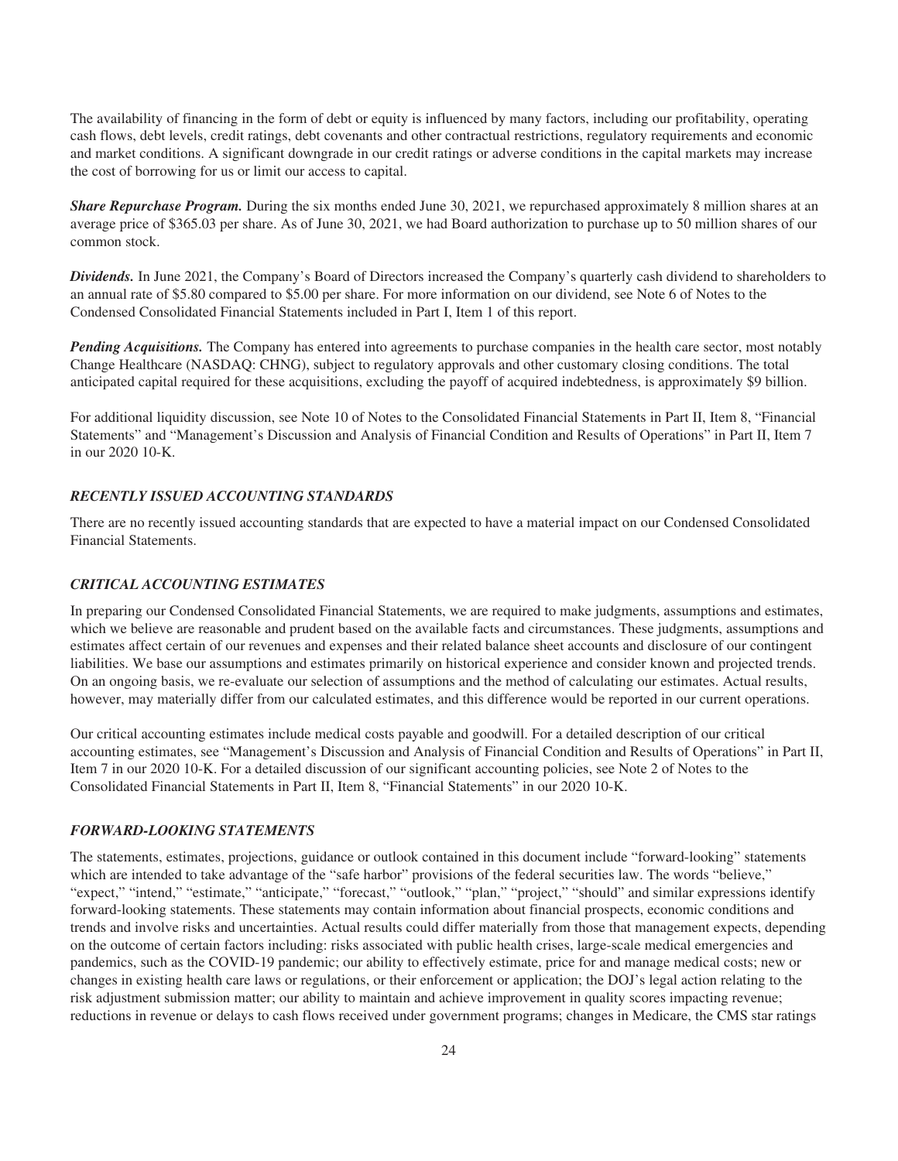The availability of financing in the form of debt or equity is influenced by many factors, including our profitability, operating cash flows, debt levels, credit ratings, debt covenants and other contractual restrictions, regulatory requirements and economic and market conditions. A significant downgrade in our credit ratings or adverse conditions in the capital markets may increase the cost of borrowing for us or limit our access to capital.

*Share Repurchase Program.* During the six months ended June 30, 2021, we repurchased approximately 8 million shares at an average price of \$365.03 per share. As of June 30, 2021, we had Board authorization to purchase up to 50 million shares of our common stock.

*Dividends.* In June 2021, the Company's Board of Directors increased the Company's quarterly cash dividend to shareholders to an annual rate of \$5.80 compared to \$5.00 per share. For more information on our dividend, see Note 6 of Notes to the Condensed Consolidated Financial Statements included in Part I, Item 1 of this report.

*Pending Acquisitions*. The Company has entered into agreements to purchase companies in the health care sector, most notably Change Healthcare (NASDAQ: CHNG), subject to regulatory approvals and other customary closing conditions. The total anticipated capital required for these acquisitions, excluding the payoff of acquired indebtedness, is approximately \$9 billion.

For additional liquidity discussion, see Note 10 of Notes to the Consolidated Financial Statements in Part II, Item 8, "Financial Statements" and "Management's Discussion and Analysis of Financial Condition and Results of Operations" in Part II, Item 7 in our 2020 10-K.

#### *RECENTLY ISSUED ACCOUNTING STANDARDS*

There are no recently issued accounting standards that are expected to have a material impact on our Condensed Consolidated Financial Statements.

#### *CRITICAL ACCOUNTING ESTIMATES*

In preparing our Condensed Consolidated Financial Statements, we are required to make judgments, assumptions and estimates, which we believe are reasonable and prudent based on the available facts and circumstances. These judgments, assumptions and estimates affect certain of our revenues and expenses and their related balance sheet accounts and disclosure of our contingent liabilities. We base our assumptions and estimates primarily on historical experience and consider known and projected trends. On an ongoing basis, we re-evaluate our selection of assumptions and the method of calculating our estimates. Actual results, however, may materially differ from our calculated estimates, and this difference would be reported in our current operations.

Our critical accounting estimates include medical costs payable and goodwill. For a detailed description of our critical accounting estimates, see "Management's Discussion and Analysis of Financial Condition and Results of Operations" in Part II, Item 7 in our 2020 10-K. For a detailed discussion of our significant accounting policies, see Note 2 of Notes to the Consolidated Financial Statements in Part II, Item 8, "Financial Statements" in our 2020 10-K.

#### *FORWARD-LOOKING STATEMENTS*

The statements, estimates, projections, guidance or outlook contained in this document include "forward-looking" statements which are intended to take advantage of the "safe harbor" provisions of the federal securities law. The words "believe," "expect," "intend," "estimate," "anticipate," "forecast," "outlook," "plan," "project," "should" and similar expressions identify forward-looking statements. These statements may contain information about financial prospects, economic conditions and trends and involve risks and uncertainties. Actual results could differ materially from those that management expects, depending on the outcome of certain factors including: risks associated with public health crises, large-scale medical emergencies and pandemics, such as the COVID-19 pandemic; our ability to effectively estimate, price for and manage medical costs; new or changes in existing health care laws or regulations, or their enforcement or application; the DOJ's legal action relating to the risk adjustment submission matter; our ability to maintain and achieve improvement in quality scores impacting revenue; reductions in revenue or delays to cash flows received under government programs; changes in Medicare, the CMS star ratings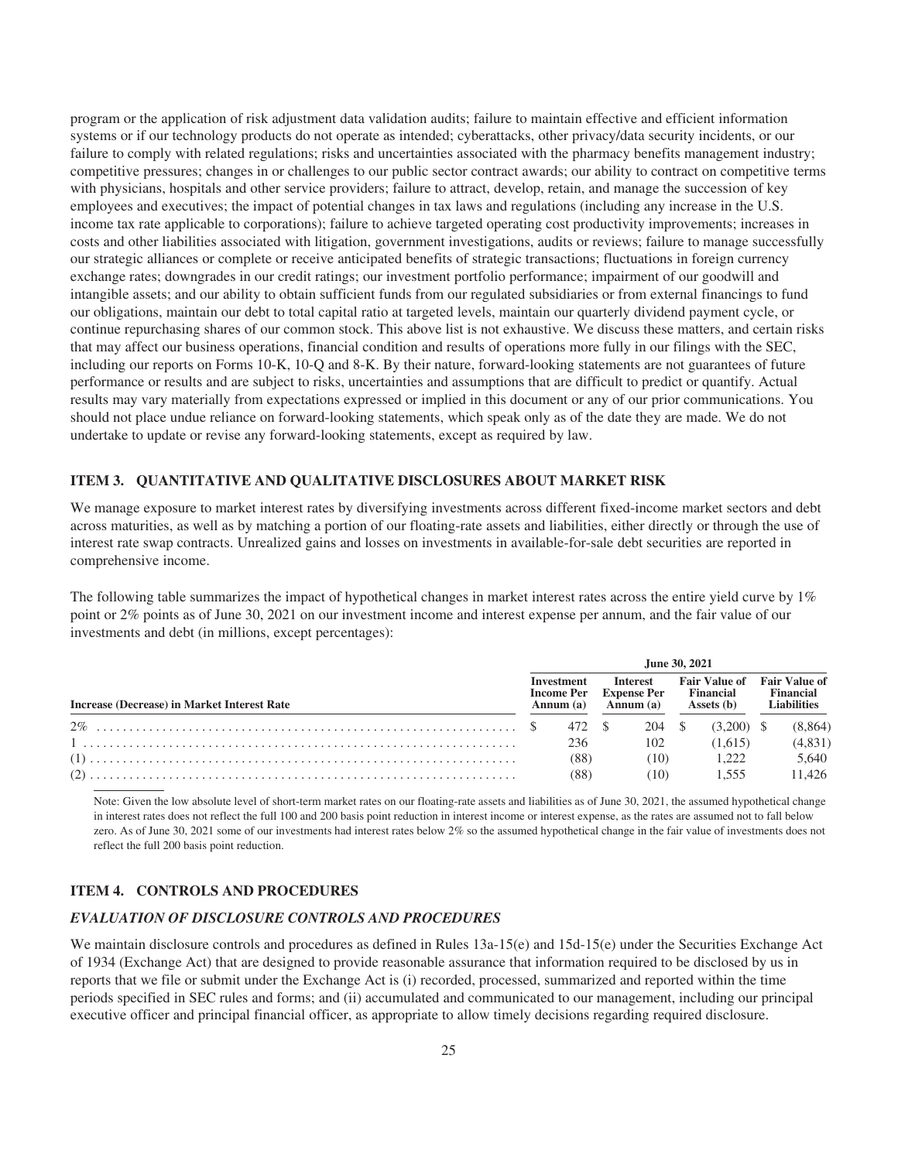program or the application of risk adjustment data validation audits; failure to maintain effective and efficient information systems or if our technology products do not operate as intended; cyberattacks, other privacy/data security incidents, or our failure to comply with related regulations; risks and uncertainties associated with the pharmacy benefits management industry; competitive pressures; changes in or challenges to our public sector contract awards; our ability to contract on competitive terms with physicians, hospitals and other service providers; failure to attract, develop, retain, and manage the succession of key employees and executives; the impact of potential changes in tax laws and regulations (including any increase in the U.S. income tax rate applicable to corporations); failure to achieve targeted operating cost productivity improvements; increases in costs and other liabilities associated with litigation, government investigations, audits or reviews; failure to manage successfully our strategic alliances or complete or receive anticipated benefits of strategic transactions; fluctuations in foreign currency exchange rates; downgrades in our credit ratings; our investment portfolio performance; impairment of our goodwill and intangible assets; and our ability to obtain sufficient funds from our regulated subsidiaries or from external financings to fund our obligations, maintain our debt to total capital ratio at targeted levels, maintain our quarterly dividend payment cycle, or continue repurchasing shares of our common stock. This above list is not exhaustive. We discuss these matters, and certain risks that may affect our business operations, financial condition and results of operations more fully in our filings with the SEC, including our reports on Forms 10-K, 10-Q and 8-K. By their nature, forward-looking statements are not guarantees of future performance or results and are subject to risks, uncertainties and assumptions that are difficult to predict or quantify. Actual results may vary materially from expectations expressed or implied in this document or any of our prior communications. You should not place undue reliance on forward-looking statements, which speak only as of the date they are made. We do not undertake to update or revise any forward-looking statements, except as required by law.

#### **ITEM 3. QUANTITATIVE AND QUALITATIVE DISCLOSURES ABOUT MARKET RISK**

We manage exposure to market interest rates by diversifying investments across different fixed-income market sectors and debt across maturities, as well as by matching a portion of our floating-rate assets and liabilities, either directly or through the use of interest rate swap contracts. Unrealized gains and losses on investments in available-for-sale debt securities are reported in comprehensive income.

The following table summarizes the impact of hypothetical changes in market interest rates across the entire yield curve by 1% point or 2% points as of June 30, 2021 on our investment income and interest expense per annum, and the fair value of our investments and debt (in millions, except percentages):

|                                             | June 30, 2021 |                                                               |  |                                                                     |  |                                                        |  |                                                         |  |  |
|---------------------------------------------|---------------|---------------------------------------------------------------|--|---------------------------------------------------------------------|--|--------------------------------------------------------|--|---------------------------------------------------------|--|--|
| Increase (Decrease) in Market Interest Rate |               | Investment<br><b>Income Per</b><br>$\text{Annum}(\mathbf{a})$ |  | <b>Interest</b><br><b>Expense Per</b><br>$\text{Annum}(\mathbf{a})$ |  | <b>Fair Value of</b><br><b>Financial</b><br>Assets (b) |  | <b>Fair Value of</b><br>Financial<br><b>Liabilities</b> |  |  |
|                                             |               | 472 \$                                                        |  | 204 \$                                                              |  | (3.200)                                                |  | (8, 864)                                                |  |  |
|                                             |               | 236                                                           |  | 102                                                                 |  | (1.615)                                                |  | (4,831)                                                 |  |  |
|                                             |               | (88)                                                          |  | (10)                                                                |  | 1.222                                                  |  | 5,640                                                   |  |  |
|                                             |               | (88)                                                          |  | (10)                                                                |  | 1.555                                                  |  | 11.426                                                  |  |  |

Note: Given the low absolute level of short-term market rates on our floating-rate assets and liabilities as of June 30, 2021, the assumed hypothetical change in interest rates does not reflect the full 100 and 200 basis point reduction in interest income or interest expense, as the rates are assumed not to fall below zero. As of June 30, 2021 some of our investments had interest rates below 2% so the assumed hypothetical change in the fair value of investments does not reflect the full 200 basis point reduction.

#### **ITEM 4. CONTROLS AND PROCEDURES**

#### *EVALUATION OF DISCLOSURE CONTROLS AND PROCEDURES*

We maintain disclosure controls and procedures as defined in Rules 13a-15(e) and 15d-15(e) under the Securities Exchange Act of 1934 (Exchange Act) that are designed to provide reasonable assurance that information required to be disclosed by us in reports that we file or submit under the Exchange Act is (i) recorded, processed, summarized and reported within the time periods specified in SEC rules and forms; and (ii) accumulated and communicated to our management, including our principal executive officer and principal financial officer, as appropriate to allow timely decisions regarding required disclosure.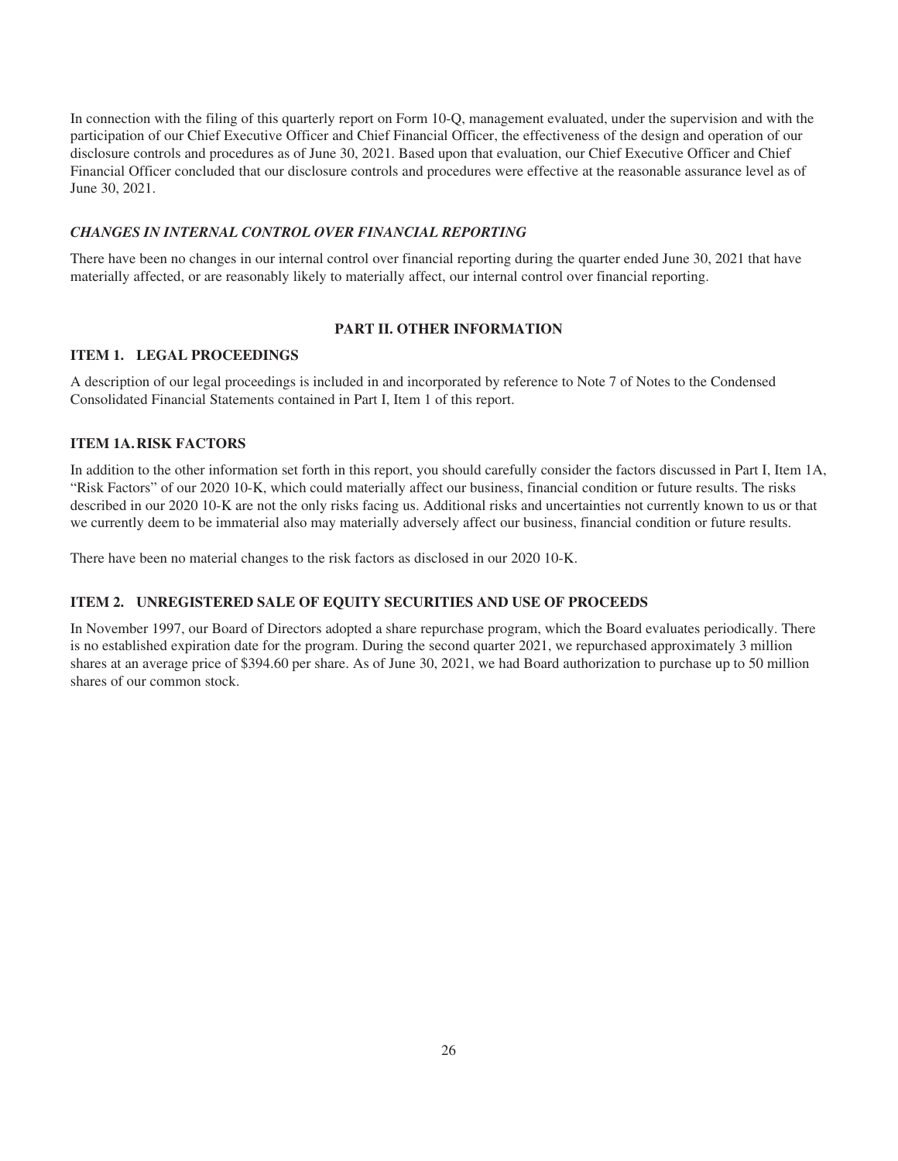In connection with the filing of this quarterly report on Form 10-Q, management evaluated, under the supervision and with the participation of our Chief Executive Officer and Chief Financial Officer, the effectiveness of the design and operation of our disclosure controls and procedures as of June 30, 2021. Based upon that evaluation, our Chief Executive Officer and Chief Financial Officer concluded that our disclosure controls and procedures were effective at the reasonable assurance level as of June 30, 2021.

#### *CHANGES IN INTERNAL CONTROL OVER FINANCIAL REPORTING*

There have been no changes in our internal control over financial reporting during the quarter ended June 30, 2021 that have materially affected, or are reasonably likely to materially affect, our internal control over financial reporting.

#### **PART II. OTHER INFORMATION**

#### **ITEM 1. LEGAL PROCEEDINGS**

A description of our legal proceedings is included in and incorporated by reference to Note 7 of Notes to the Condensed Consolidated Financial Statements contained in Part I, Item 1 of this report.

#### **ITEM 1A.RISK FACTORS**

In addition to the other information set forth in this report, you should carefully consider the factors discussed in Part I, Item 1A, "Risk Factors" of our 2020 10-K, which could materially affect our business, financial condition or future results. The risks described in our 2020 10-K are not the only risks facing us. Additional risks and uncertainties not currently known to us or that we currently deem to be immaterial also may materially adversely affect our business, financial condition or future results.

There have been no material changes to the risk factors as disclosed in our 2020 10-K.

#### **ITEM 2. UNREGISTERED SALE OF EQUITY SECURITIES AND USE OF PROCEEDS**

In November 1997, our Board of Directors adopted a share repurchase program, which the Board evaluates periodically. There is no established expiration date for the program. During the second quarter 2021, we repurchased approximately 3 million shares at an average price of \$394.60 per share. As of June 30, 2021, we had Board authorization to purchase up to 50 million shares of our common stock.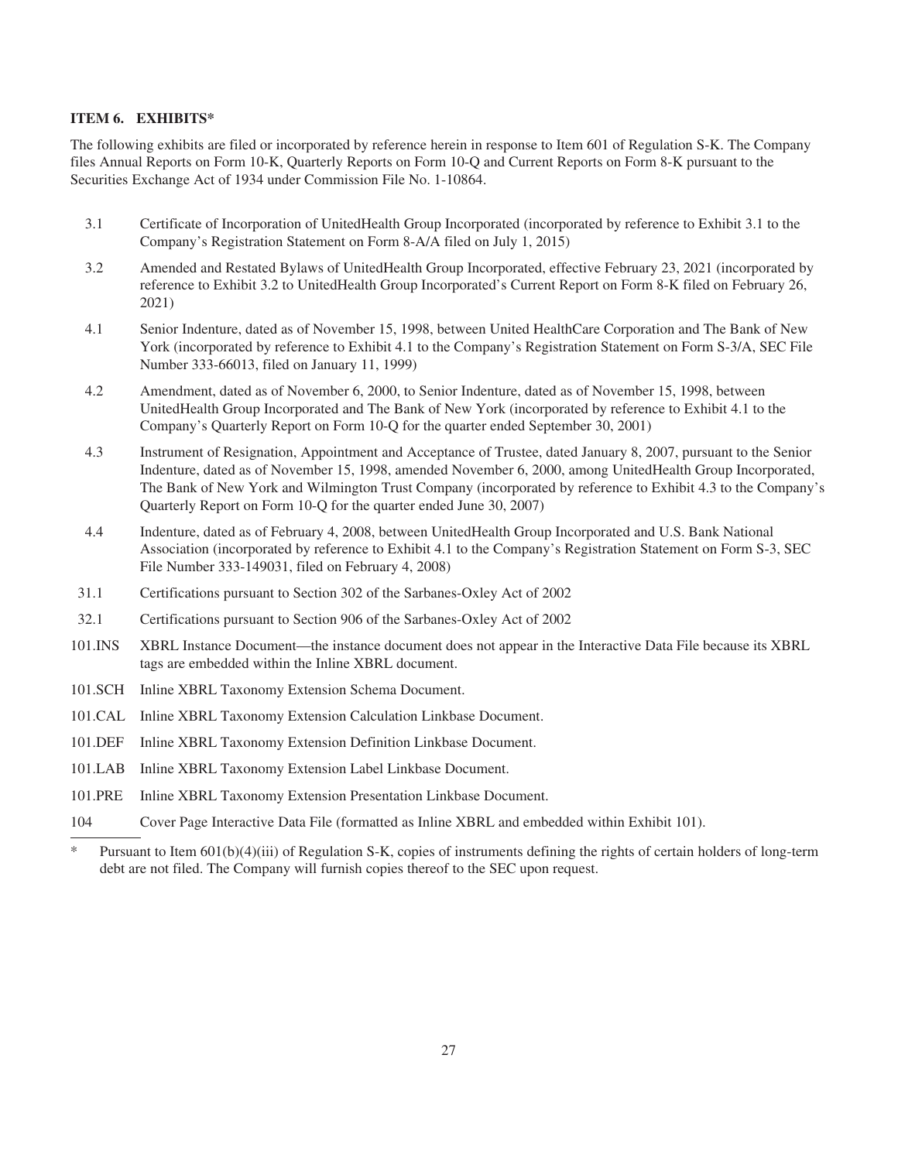#### **ITEM 6. EXHIBITS\***

The following exhibits are filed or incorporated by reference herein in response to Item 601 of Regulation S-K. The Company files Annual Reports on Form 10-K, Quarterly Reports on Form 10-Q and Current Reports on Form 8-K pursuant to the Securities Exchange Act of 1934 under Commission File No. 1-10864.

- 3.1 Certificate of Incorporation of UnitedHealth Group Incorporated (incorporated by reference to Exhibit 3.1 to the Company's Registration Statement on Form 8-A/A filed on July 1, 2015)
- 3.2 Amended and Restated Bylaws of UnitedHealth Group Incorporated, effective February 23, 2021 (incorporated by reference to Exhibit 3.2 to UnitedHealth Group Incorporated's Current Report on Form 8-K filed on February 26, 2021)
- 4.1 Senior Indenture, dated as of November 15, 1998, between United HealthCare Corporation and The Bank of New York (incorporated by reference to Exhibit 4.1 to the Company's Registration Statement on Form S-3/A, SEC File Number 333-66013, filed on January 11, 1999)
- 4.2 Amendment, dated as of November 6, 2000, to Senior Indenture, dated as of November 15, 1998, between UnitedHealth Group Incorporated and The Bank of New York (incorporated by reference to Exhibit 4.1 to the Company's Quarterly Report on Form 10-Q for the quarter ended September 30, 2001)
- 4.3 Instrument of Resignation, Appointment and Acceptance of Trustee, dated January 8, 2007, pursuant to the Senior Indenture, dated as of November 15, 1998, amended November 6, 2000, among UnitedHealth Group Incorporated, The Bank of New York and Wilmington Trust Company (incorporated by reference to Exhibit 4.3 to the Company's Quarterly Report on Form 10-Q for the quarter ended June 30, 2007)
- 4.4 Indenture, dated as of February 4, 2008, between UnitedHealth Group Incorporated and U.S. Bank National Association (incorporated by reference to Exhibit 4.1 to the Company's Registration Statement on Form S-3, SEC File Number 333-149031, filed on February 4, 2008)
- 31.1 Certifications pursuant to Section 302 of the Sarbanes-Oxley Act of 2002
- 32.1 Certifications pursuant to Section 906 of the Sarbanes-Oxley Act of 2002
- 101.INS XBRL Instance Document—the instance document does not appear in the Interactive Data File because its XBRL tags are embedded within the Inline XBRL document.
- 101.SCH Inline XBRL Taxonomy Extension Schema Document.
- 101.CAL Inline XBRL Taxonomy Extension Calculation Linkbase Document.
- 101.DEF Inline XBRL Taxonomy Extension Definition Linkbase Document.
- 101.LAB Inline XBRL Taxonomy Extension Label Linkbase Document.
- 101.PRE Inline XBRL Taxonomy Extension Presentation Linkbase Document.
- 104 Cover Page Interactive Data File (formatted as Inline XBRL and embedded within Exhibit 101).

<sup>\*</sup> Pursuant to Item 601(b)(4)(iii) of Regulation S-K, copies of instruments defining the rights of certain holders of long-term debt are not filed. The Company will furnish copies thereof to the SEC upon request.